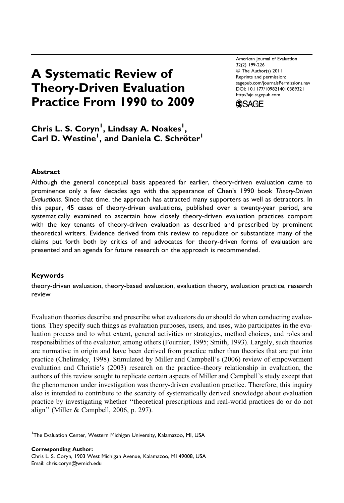# A Systematic Review of Theory-Driven Evaluation Practice From 1990 to 2009

American Journal of Evaluation 32(2) 199-226 © The Author(s) 2011 Reprints and permission: sagepub.com/journalsPermissions.nav DOI: 10.1177/1098214010389321 http://aje.sagepub.com



# Chris L. S. Coryn<sup>1</sup>, Lindsay A. Noakes<sup>1</sup>, Carl D. Westine<sup>1</sup>, and Daniela C. Schröter<sup>1</sup>

## Abstract

Although the general conceptual basis appeared far earlier, theory-driven evaluation came to prominence only a few decades ago with the appearance of Chen's 1990 book Theory-Driven Evaluations. Since that time, the approach has attracted many supporters as well as detractors. In this paper, 45 cases of theory-driven evaluations, published over a twenty-year period, are systematically examined to ascertain how closely theory-driven evaluation practices comport with the key tenants of theory-driven evaluation as described and prescribed by prominent theoretical writers. Evidence derived from this review to repudiate or substantiate many of the claims put forth both by critics of and advocates for theory-driven forms of evaluation are presented and an agenda for future research on the approach is recommended.

#### Keywords

theory-driven evaluation, theory-based evaluation, evaluation theory, evaluation practice, research review

Evaluation theories describe and prescribe what evaluators do or should do when conducting evaluations. They specify such things as evaluation purposes, users, and uses, who participates in the evaluation process and to what extent, general activities or strategies, method choices, and roles and responsibilities of the evaluator, among others (Fournier, 1995; Smith, 1993). Largely, such theories are normative in origin and have been derived from practice rather than theories that are put into practice (Chelimsky, 1998). Stimulated by Miller and Campbell's (2006) review of empowerment evaluation and Christie's (2003) research on the practice–theory relationship in evaluation, the authors of this review sought to replicate certain aspects of Miller and Campbell's study except that the phenomenon under investigation was theory-driven evaluation practice. Therefore, this inquiry also is intended to contribute to the scarcity of systematically derived knowledge about evaluation practice by investigating whether ''theoretical prescriptions and real-world practices do or do not align'' (Miller & Campbell, 2006, p. 297).

Corresponding Author: Chris L. S. Coryn, 1903 West Michigan Avenue, Kalamazoo, MI 49008, USA Email: chris.coryn@wmich.edu

<sup>&</sup>lt;sup>1</sup>The Evaluation Center, Western Michigan University, Kalamazoo, MI, USA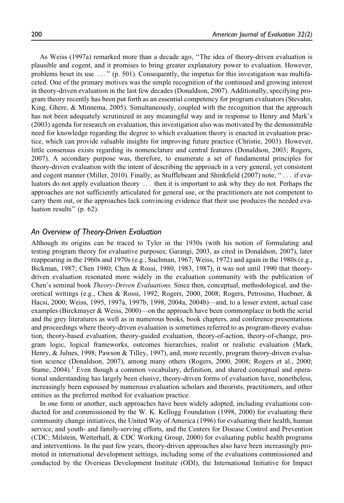As Weiss (1997a) remarked more than a decade ago, ''The idea of theory-driven evaluation is plausible and cogent, and it promises to bring greater explanatory power to evaluation. However, problems beset its use ... '' (p. 501). Consequently, the impetus for this investigation was multifaceted. One of the primary motives was the simple recognition of the continued and growing interest in theory-driven evaluation in the last few decades (Donaldson, 2007). Additionally, specifying program theory recently has been put forth as an essential competency for program evaluators (Stevahn, King, Ghere, & Minnema, 2005). Simultaneously, coupled with the recognition that the approach has not been adequately scrutinized in any meaningful way and in response to Henry and Mark's (2003) agenda for research on evaluation, this investigation also was motivated by the demonstrable need for knowledge regarding the degree to which evaluation theory is enacted in evaluation practice, which can provide valuable insights for improving future practice (Christie, 2003). However, little consensus exists regarding its nomenclature and central features (Donaldson, 2003; Rogers, 2007). A secondary purpose was, therefore, to enumerate a set of fundamental principles for theory-driven evaluation with the intent of describing the approach in a very general, yet consistent and cogent manner (Miller, 2010). Finally, as Stufflebeam and Shinkfield (2007) note, ''... if evaluators do not apply evaluation theory ... then it is important to ask why they do not. Perhaps the approaches are not sufficiently articulated for general use, or the practitioners are not competent to carry them out, or the approaches lack convincing evidence that their use produces the needed evaluation results'' (p. 62).

# An Overview of Theory-Driven Evaluation

Although its origins can be traced to Tyler in the 1930s (with his notion of formulating and testing program theory for evaluative purposes; Garangi, 2003, as cited in Donaldson, 2007), later reappearing in the 1960s and 1970s (e.g., Suchman, 1967; Weiss, 1972) and again in the 1980s (e.g., Bickman, 1987; Chen 1980; Chen & Rossi, 1980, 1983, 1987), it was not until 1990 that theorydriven evaluation resonated more widely in the evaluation community with the publication of Chen's seminal book Theory-Driven Evaluations. Since then, conceptual, methodological, and theoretical writings (e.g., Chen & Rossi, 1992; Rogers, 2000, 2008; Rogers, Petrosino, Huebner, & Hacsi, 2000; Weiss, 1995, 1997a, 1997b, 1998, 2004a, 2004b)—and, to a lesser extent, actual case examples (Birckmayer & Weiss, 2000)—on the approach have been commonplace in both the serial and the grey literatures as well as in numerous books, book chapters, and conference presentations and proceedings where theory-driven evaluation is sometimes referred to as program-theory evaluation, theory-based evaluation, theory-guided evaluation, theory-of-action, theory-of-change, program logic, logical frameworks, outcomes hierarchies, realist or realistic evaluation (Mark, Henry, & Julnes, 1998; Pawson & Tilley, 1997), and, more recently, program theory-driven evaluation science (Donaldson, 2007), among many others (Rogers, 2000, 2008; Rogers et al., 2000; Stame, 2004).<sup>1</sup> Even though a common vocabulary, definition, and shared conceptual and operational understanding has largely been elusive, theory-driven forms of evaluation have, nonetheless, increasingly been espoused by numerous evaluation scholars and theorists, practitioners, and other entities as the preferred method for evaluation practice.

In one form or another, such approaches have been widely adopted, including evaluations conducted for and commissioned by the W. K. Kellogg Foundation (1998, 2000) for evaluating their community change initiatives, the United Way of America (1996) for evaluating their health, human service, and youth- and family-serving efforts, and the Centers for Disease Control and Prevention (CDC; Milstein, Wetterhall, & CDC Working Group, 2000) for evaluating public health programs and interventions. In the past few years, theory-driven approaches also have been increasingly promoted in international development settings, including some of the evaluations commissioned and conducted by the Overseas Development Institute (ODI), the International Initiative for Impact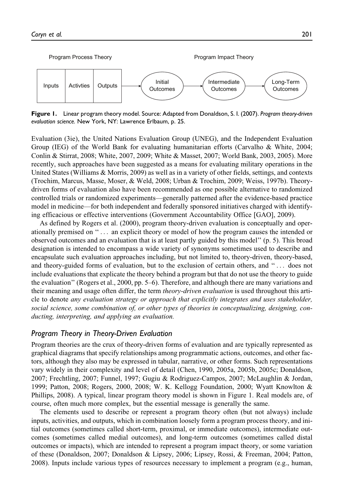

Figure 1. Linear program theory model. Source: Adapted from Donaldson, S. I. (2007). Program theory-driven evaluation science. New York, NY: Lawrence Erlbaum, p. 25.

Evaluation (3ie), the United Nations Evaluation Group (UNEG), and the Independent Evaluation Group (IEG) of the World Bank for evaluating humanitarian efforts (Carvalho & White, 2004; Conlin & Stirrat, 2008; White, 2007, 2009; White & Masset, 2007; World Bank, 2003, 2005). More recently, such approaches have been suggested as a means for evaluating military operations in the United States (Williams & Morris, 2009) as well as in a variety of other fields, settings, and contexts (Trochim, Marcus, Masse, Moser, & Weld, 2008; Urban & Trochim, 2009; Weiss, 1997b). Theorydriven forms of evaluation also have been recommended as one possible alternative to randomized controlled trials or randomized experiments—generally patterned after the evidence-based practice model in medicine—for both independent and federally sponsored initiatives charged with identifying efficacious or effective interventions (Government Accountability Office [GAO], 2009).

As defined by Rogers et al. (2000), program theory-driven evaluation is conceptually and operationally premised on '' ... an explicit theory or model of how the program causes the intended or observed outcomes and an evaluation that is at least partly guided by this model'' (p. 5). This broad designation is intended to encompass a wide variety of synonyms sometimes used to describe and encapsulate such evaluation approaches including, but not limited to, theory-driven, theory-based, and theory-guided forms of evaluation, but to the exclusion of certain others, and ''... does not include evaluations that explicate the theory behind a program but that do not use the theory to guide the evaluation'' (Rogers et al., 2000, pp. 5–6). Therefore, and although there are many variations and their meaning and usage often differ, the term *theory-driven evaluation* is used throughout this article to denote any evaluation strategy or approach that explicitly integrates and uses stakeholder, social science, some combination of, or other types of theories in conceptualizing, designing, conducting, interpreting, and applying an evaluation.

## Program Theory in Theory-Driven Evaluation

Program theories are the crux of theory-driven forms of evaluation and are typically represented as graphical diagrams that specify relationships among programmatic actions, outcomes, and other factors, although they also may be expressed in tabular, narrative, or other forms. Such representations vary widely in their complexity and level of detail (Chen, 1990, 2005a, 2005b, 2005c; Donaldson, 2007; Frechtling, 2007; Funnel, 1997; Gugiu & Rodriguez-Campos, 2007; McLaughlin & Jordan, 1999; Patton, 2008; Rogers, 2000, 2008; W. K. Kellogg Foundation, 2000; Wyatt Knowlton & Phillips, 2008). A typical, linear program theory model is shown in Figure 1. Real models are, of course, often much more complex, but the essential message is generally the same.

The elements used to describe or represent a program theory often (but not always) include inputs, activities, and outputs, which in combination loosely form a program process theory, and initial outcomes (sometimes called short-term, proximal, or immediate outcomes), intermediate outcomes (sometimes called medial outcomes), and long-term outcomes (sometimes called distal outcomes or impacts), which are intended to represent a program impact theory, or some variation of these (Donaldson, 2007; Donaldson & Lipsey, 2006; Lipsey, Rossi, & Freeman, 2004; Patton, 2008). Inputs include various types of resources necessary to implement a program (e.g., human,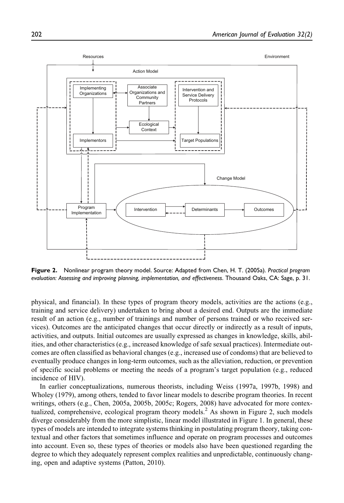

Figure 2. Nonlinear program theory model. Source: Adapted from Chen, H. T. (2005a). Practical program evaluation: Assessing and improving planning, implementation, and effectiveness. Thousand Oaks, CA: Sage, p. 31.

physical, and financial). In these types of program theory models, activities are the actions (e.g., training and service delivery) undertaken to bring about a desired end. Outputs are the immediate result of an action (e.g., number of trainings and number of persons trained or who received services). Outcomes are the anticipated changes that occur directly or indirectly as a result of inputs, activities, and outputs. Initial outcomes are usually expressed as changes in knowledge, skills, abilities, and other characteristics (e.g., increased knowledge of safe sexual practices). Intermediate outcomes are often classified as behavioral changes (e.g., increased use of condoms) that are believed to eventually produce changes in long-term outcomes, such as the alleviation, reduction, or prevention of specific social problems or meeting the needs of a program's target population (e.g., reduced incidence of HIV).

In earlier conceptualizations, numerous theorists, including Weiss (1997a, 1997b, 1998) and Wholey (1979), among others, tended to favor linear models to describe program theories. In recent writings, others (e.g., Chen, 2005a, 2005b, 2005c; Rogers, 2008) have advocated for more contextualized, comprehensive, ecological program theory models.<sup>2</sup> As shown in Figure 2, such models diverge considerably from the more simplistic, linear model illustrated in Figure 1. In general, these types of models are intended to integrate systems thinking in postulating program theory, taking contextual and other factors that sometimes influence and operate on program processes and outcomes into account. Even so, these types of theories or models also have been questioned regarding the degree to which they adequately represent complex realities and unpredictable, continuously changing, open and adaptive systems (Patton, 2010).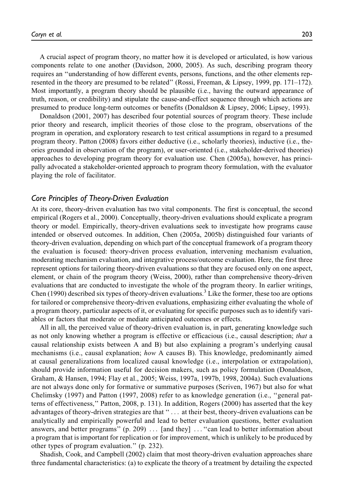A crucial aspect of program theory, no matter how it is developed or articulated, is how various components relate to one another (Davidson, 2000, 2005). As such, describing program theory requires an ''understanding of how different events, persons, functions, and the other elements represented in the theory are presumed to be related'' (Rossi, Freeman, & Lipsey, 1999, pp. 171–172). Most importantly, a program theory should be plausible (i.e., having the outward appearance of truth, reason, or credibility) and stipulate the cause-and-effect sequence through which actions are presumed to produce long-term outcomes or benefits (Donaldson & Lipsey, 2006; Lipsey, 1993).

Donaldson (2001, 2007) has described four potential sources of program theory. These include prior theory and research, implicit theories of those close to the program, observations of the program in operation, and exploratory research to test critical assumptions in regard to a presumed program theory. Patton (2008) favors either deductive (i.e., scholarly theories), inductive (i.e., theories grounded in observation of the program), or user-oriented (i.e., stakeholder-derived theories) approaches to developing program theory for evaluation use. Chen (2005a), however, has principally advocated a stakeholder-oriented approach to program theory formulation, with the evaluator playing the role of facilitator.

## Core Principles of Theory-Driven Evaluation

At its core, theory-driven evaluation has two vital components. The first is conceptual, the second empirical (Rogers et al., 2000). Conceptually, theory-driven evaluations should explicate a program theory or model. Empirically, theory-driven evaluations seek to investigate how programs cause intended or observed outcomes. In addition, Chen (2005a, 2005b) distinguished four variants of theory-driven evaluation, depending on which part of the conceptual framework of a program theory the evaluation is focused: theory-driven process evaluation, intervening mechanism evaluation, moderating mechanism evaluation, and integrative process/outcome evaluation. Here, the first three represent options for tailoring theory-driven evaluations so that they are focused only on one aspect, element, or chain of the program theory (Weiss, 2000), rather than comprehensive theory-driven evaluations that are conducted to investigate the whole of the program theory. In earlier writings, Chen (1990) described six types of theory-driven evaluations.<sup>3</sup> Like the former, these too are options for tailored or comprehensive theory-driven evaluations, emphasizing either evaluating the whole of a program theory, particular aspects of it, or evaluating for specific purposes such as to identify variables or factors that moderate or mediate anticipated outcomes or effects.

All in all, the perceived value of theory-driven evaluation is, in part, generating knowledge such as not only knowing whether a program is effective or efficacious (i.e., causal description; that a causal relationship exists between A and B) but also explaining a program's underlying causal mechanisms (i.e., causal explanation; how A causes B). This knowledge, predominantly aimed at causal generalizations from localized causal knowledge (i.e., interpolation or extrapolation), should provide information useful for decision makers, such as policy formulation (Donaldson, Graham, & Hansen, 1994; Flay et al., 2005; Weiss, 1997a, 1997b, 1998, 2004a). Such evaluations are not always done only for formative or summative purposes (Scriven, 1967) but also for what Chelimsky (1997) and Patton (1997, 2008) refer to as knowledge generation (i.e., ''general patterns of effectiveness,'' Patton, 2008, p. 131). In addition, Rogers (2000) has asserted that the key advantages of theory-driven strategies are that '' ... at their best, theory-driven evaluations can be analytically and empirically powerful and lead to better evaluation questions, better evaluation answers, and better programs'' (p. 209) ... [and they] ... ''can lead to better information about a program that is important for replication or for improvement, which is unlikely to be produced by other types of program evaluation.'' (p. 232).

Shadish, Cook, and Campbell (2002) claim that most theory-driven evaluation approaches share three fundamental characteristics: (a) to explicate the theory of a treatment by detailing the expected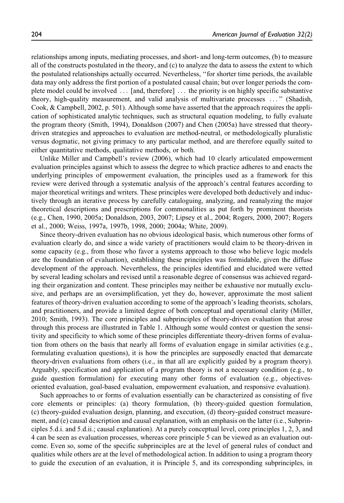relationships among inputs, mediating processes, and short- and long-term outcomes, (b) to measure all of the constructs postulated in the theory, and (c) to analyze the data to assess the extent to which the postulated relationships actually occurred. Nevertheless, ''for shorter time periods, the available data may only address the first portion of a postulated causal chain; but over longer periods the complete model could be involved ... [and, therefore] ... the priority is on highly specific substantive theory, high-quality measurement, and valid analysis of multivariate processes ... '' (Shadish, Cook, & Campbell, 2002, p. 501). Although some have asserted that the approach requires the application of sophisticated analytic techniques, such as structural equation modeling, to fully evaluate the program theory (Smith, 1994), Donaldson (2007) and Chen (2005a) have stressed that theorydriven strategies and approaches to evaluation are method-neutral, or methodologically pluralistic versus dogmatic, not giving primacy to any particular method, and are therefore equally suited to either quantitative methods, qualitative methods, or both.

Unlike Miller and Campbell's review (2006), which had 10 clearly articulated empowerment evaluation principles against which to assess the degree to which practice adheres to and enacts the underlying principles of empowerment evaluation, the principles used as a framework for this review were derived through a systematic analysis of the approach's central features according to major theoretical writings and writers. These principles were developed both deductively and inductively through an iterative process by carefully cataloguing, analyzing, and reanalyzing the major theoretical descriptions and prescriptions for commonalities as put forth by prominent theorists (e.g., Chen, 1990, 2005a; Donaldson, 2003, 2007; Lipsey et al., 2004; Rogers, 2000, 2007; Rogers et al., 2000; Weiss, 1997a, 1997b, 1998, 2000; 2004a; White, 2009).

Since theory-driven evaluation has no obvious ideological basis, which numerous other forms of evaluation clearly do, and since a wide variety of practitioners would claim to be theory-driven in some capacity (e.g., from those who favor a systems approach to those who believe logic models are the foundation of evaluation), establishing these principles was formidable, given the diffuse development of the approach. Nevertheless, the principles identified and elucidated were vetted by several leading scholars and revised until a reasonable degree of consensus was achieved regarding their organization and content. These principles may neither be exhaustive nor mutually exclusive, and perhaps are an oversimplification, yet they do, however, approximate the most salient features of theory-driven evaluation according to some of the approach's leading theorists, scholars, and practitioners, and provide a limited degree of both conceptual and operational clarity (Miller, 2010; Smith, 1993). The core principles and subprinciples of theory-driven evaluation that arose through this process are illustrated in Table 1. Although some would contest or question the sensitivity and specificity to which some of these principles differentiate theory-driven forms of evaluation from others on the basis that nearly all forms of evaluation engage in similar activities (e.g., formulating evaluation questions), it is how the principles are supposedly enacted that demarcate theory-driven evaluations from others (i.e., in that all are explicitly guided by a program theory). Arguably, specification and application of a program theory is not a necessary condition (e.g., to guide question formulation) for executing many other forms of evaluation (e.g., objectivesoriented evaluation, goal-based evaluation, empowerment evaluation, and responsive evaluation).

Such approaches to or forms of evaluation essentially can be characterized as consisting of five core elements or principles: (a) theory formulation, (b) theory-guided question formulation, (c) theory-guided evaluation design, planning, and execution, (d) theory-guided construct measurement, and (e) causal description and causal explanation, with an emphasis on the latter (i.e., Subprinciples 5.d.i. and 5.d.ii.; causal explanation). At a purely conceptual level, core principles 1, 2, 3, and 4 can be seen as evaluation processes, whereas core principle 5 can be viewed as an evaluation outcome. Even so, some of the specific subprinciples are at the level of general rules of conduct and qualities while others are at the level of methodological action. In addition to using a program theory to guide the execution of an evaluation, it is Principle 5, and its corresponding subprinciples, in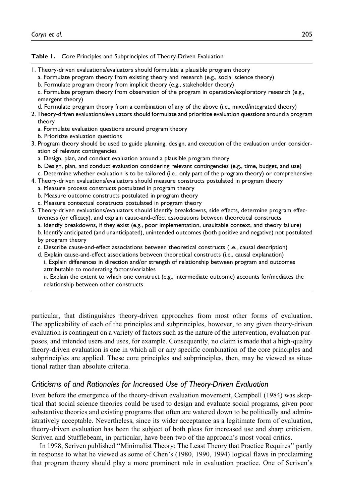#### Table 1. Core Principles and Subprinciples of Theory-Driven Evaluation

- 1. Theory-driven evaluations/evaluators should formulate a plausible program theory
	- a. Formulate program theory from existing theory and research (e.g., social science theory)
	- b. Formulate program theory from implicit theory (e.g., stakeholder theory)

c. Formulate program theory from observation of the program in operation/exploratory research (e.g., emergent theory)

- d. Formulate program theory from a combination of any of the above (i.e., mixed/integrated theory)
- 2. Theory-driven evaluations/evaluators should formulate and prioritize evaluation questions around a program theory
	- a. Formulate evaluation questions around program theory
	- b. Prioritize evaluation questions
- 3. Program theory should be used to guide planning, design, and execution of the evaluation under consideration of relevant contingencies
	- a. Design, plan, and conduct evaluation around a plausible program theory
	- b. Design, plan, and conduct evaluation considering relevant contingencies (e.g., time, budget, and use)
	- c. Determine whether evaluation is to be tailored (i.e., only part of the program theory) or comprehensive
- 4. Theory-driven evaluations/evaluators should measure constructs postulated in program theory
	- a. Measure process constructs postulated in program theory
	- b. Measure outcome constructs postulated in program theory
	- c. Measure contextual constructs postulated in program theory
- 5. Theory-driven evaluations/evaluators should identify breakdowns, side effects, determine program effectiveness (or efficacy), and explain cause-and-effect associations between theoretical constructs a. Identify breakdowns, if they exist (e.g., poor implementation, unsuitable context, and theory failure)
	- b. Identify anticipated (and unanticipated), unintended outcomes (both positive and negative) not postulated by program theory
	- c. Describe cause-and-effect associations between theoretical constructs (i.e., causal description)
	- d. Explain cause-and-effect associations between theoretical constructs (i.e., causal explanation) i. Explain differences in direction and/or strength of relationship between program and outcomes attributable to moderating factors/variables

ii. Explain the extent to which one construct (e.g., intermediate outcome) accounts for/mediates the relationship between other constructs

particular, that distinguishes theory-driven approaches from most other forms of evaluation. The applicability of each of the principles and subprinciples, however, to any given theory-driven evaluation is contingent on a variety of factors such as the nature of the intervention, evaluation purposes, and intended users and uses, for example. Consequently, no claim is made that a high-quality theory-driven evaluation is one in which all or any specific combination of the core principles and subprinciples are applied. These core principles and subprinciples, then, may be viewed as situational rather than absolute criteria.

## Criticisms of and Rationales for Increased Use of Theory-Driven Evaluation

Even before the emergence of the theory-driven evaluation movement, Campbell (1984) was skeptical that social science theories could be used to design and evaluate social programs, given poor substantive theories and existing programs that often are watered down to be politically and administratively acceptable. Nevertheless, since its wider acceptance as a legitimate form of evaluation, theory-driven evaluation has been the subject of both pleas for increased use and sharp criticism. Scriven and Stufflebeam, in particular, have been two of the approach's most vocal critics.

In 1998, Scriven published ''Minimalist Theory: The Least Theory that Practice Requires'' partly in response to what he viewed as some of Chen's (1980, 1990, 1994) logical flaws in proclaiming that program theory should play a more prominent role in evaluation practice. One of Scriven's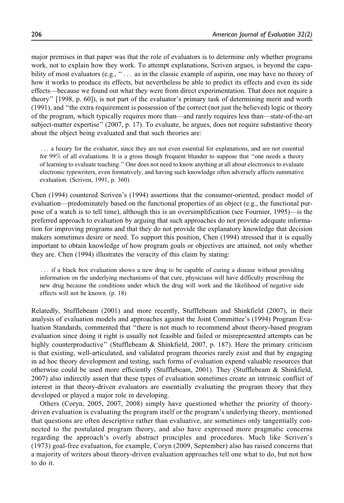major premises in that paper was that the role of evaluators is to determine only whether programs work, not to explain how they work. To attempt explanations, Scriven argues, is beyond the capability of most evaluators (e.g., "... as in the classic example of aspirin, one may have no theory of how it works to produce its effects, but nevertheless be able to predict its effects and even its side effects—because we found out what they were from direct experimentation. That does not require a theory'' [1998, p. 60]), is not part of the evaluator's primary task of determining merit and worth (1991), and ''the extra requirement is possession of the correct (not just the believed) logic or theory of the program, which typically requires more than—and rarely requires less than—state-of-the-art subject-matter expertise'' (2007, p. 17). To evaluate, he argues, does not require substantive theory about the object being evaluated and that such theories are:

... a luxury for the evaluator, since they are not even essential for explanations, and are not essential for 99% of all evaluations. It is a gross though frequent blunder to suppose that ''one needs a theory of learning to evaluate teaching.'' One does not need to know anything at all about electronics to evaluate electronic typewriters, even formatively, and having such knowledge often adversely affects summative evaluation. (Scriven, 1991, p. 360)

Chen (1994) countered Scriven's (1994) assertions that the consumer-oriented, product model of evaluation—predominately based on the functional properties of an object (e.g., the functional purpose of a watch is to tell time), although this is an oversimplification (see Fournier, 1995)—is the preferred approach to evaluation by arguing that such approaches do not provide adequate information for improving programs and that they do not provide the explanatory knowledge that decision makers sometimes desire or need. To support this position, Chen (1994) stressed that it is equally important to obtain knowledge of how program goals or objectives are attained, not only whether they are. Chen (1994) illustrates the veracity of this claim by stating:

... if a black box evaluation shows a new drug to be capable of curing a disease without providing information on the underlying mechanisms of that cure, physicians will have difficulty prescribing the new drug because the conditions under which the drug will work and the likelihood of negative side effects will not be known. (p. 18)

Relatedly, Stufflebeam (2001) and more recently, Stufflebeam and Shinkfield (2007), in their analysis of evaluation models and approaches against the Joint Committee's (1994) Program Evaluation Standards, commented that ''there is not much to recommend about theory-based program evaluation since doing it right is usually not feasible and failed or misrepresented attempts can be highly counterproductive" (Stufflebeam & Shinkfield, 2007, p. 187). Here the primary criticism is that existing, well-articulated, and validated program theories rarely exist and that by engaging in ad hoc theory development and testing, such forms of evaluation expend valuable resources that otherwise could be used more efficiently (Stufflebeam, 2001). They (Stufflebeam & Shinkfield, 2007) also indirectly assert that these types of evaluation sometimes create an intrinsic conflict of interest in that theory-driven evaluators are essentially evaluating the program theory that they developed or played a major role in developing.

Others (Coryn, 2005, 2007, 2008) simply have questioned whether the priority of theorydriven evaluation is evaluating the program itself or the program's underlying theory, mentioned that questions are often descriptive rather than evaluative, are sometimes only tangentially connected to the postulated program theory, and also have expressed more pragmatic concerns regarding the approach's overly abstract principles and procedures. Much like Scriven's (1973) goal-free evaluation, for example, Coryn (2009, September) also has raised concerns that a majority of writers about theory-driven evaluation approaches tell one what to do, but not how to do it.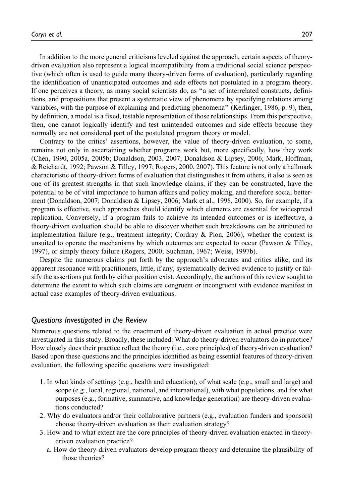In addition to the more general criticisms leveled against the approach, certain aspects of theorydriven evaluation also represent a logical incompatibility from a traditional social science perspective (which often is used to guide many theory-driven forms of evaluation), particularly regarding the identification of unanticipated outcomes and side effects not postulated in a program theory. If one perceives a theory, as many social scientists do, as ''a set of interrelated constructs, definitions, and propositions that present a systematic view of phenomena by specifying relations among variables, with the purpose of explaining and predicting phenomena'' (Kerlinger, 1986, p. 9), then, by definition, a model is a fixed, testable representation of those relationships. From this perspective, then, one cannot logically identify and test unintended outcomes and side effects because they normally are not considered part of the postulated program theory or model.

Contrary to the critics' assertions, however, the value of theory-driven evaluation, to some, remains not only in ascertaining whether programs work but, more specifically, how they work (Chen, 1990, 2005a, 2005b; Donaldson, 2003, 2007; Donaldson & Lipsey, 2006; Mark, Hoffman, & Reichardt, 1992; Pawson & Tilley, 1997; Rogers, 2000, 2007). This feature is not only a hallmark characteristic of theory-driven forms of evaluation that distinguishes it from others, it also is seen as one of its greatest strengths in that such knowledge claims, if they can be constructed, have the potential to be of vital importance to human affairs and policy making, and therefore social betterment (Donaldson, 2007; Donaldson & Lipsey, 2006; Mark et al., 1998, 2000). So, for example, if a program is effective, such approaches should identify which elements are essential for widespread replication. Conversely, if a program fails to achieve its intended outcomes or is ineffective, a theory-driven evaluation should be able to discover whether such breakdowns can be attributed to implementation failure (e.g., treatment integrity; Cordray & Pion, 2006), whether the context is unsuited to operate the mechanisms by which outcomes are expected to occur (Pawson & Tilley, 1997), or simply theory failure (Rogers, 2000; Suchman, 1967; Weiss, 1997b).

Despite the numerous claims put forth by the approach's advocates and critics alike, and its apparent resonance with practitioners, little, if any, systematically derived evidence to justify or falsify the assertions put forth by either position exist. Accordingly, the authors of this review sought to determine the extent to which such claims are congruent or incongruent with evidence manifest in actual case examples of theory-driven evaluations.

#### Questions Investigated in the Review

Numerous questions related to the enactment of theory-driven evaluation in actual practice were investigated in this study. Broadly, these included: What do theory-driven evaluators do in practice? How closely does their practice reflect the theory (i.e., core principles) of theory-driven evaluation? Based upon these questions and the principles identified as being essential features of theory-driven evaluation, the following specific questions were investigated:

- 1. In what kinds of settings (e.g., health and education), of what scale (e.g., small and large) and scope (e.g., local, regional, national, and international), with what populations, and for what purposes (e.g., formative, summative, and knowledge generation) are theory-driven evaluations conducted?
- 2. Why do evaluators and/or their collaborative partners (e.g., evaluation funders and sponsors) choose theory-driven evaluation as their evaluation strategy?
- 3. How and to what extent are the core principles of theory-driven evaluation enacted in theorydriven evaluation practice?
	- a. How do theory-driven evaluators develop program theory and determine the plausibility of those theories?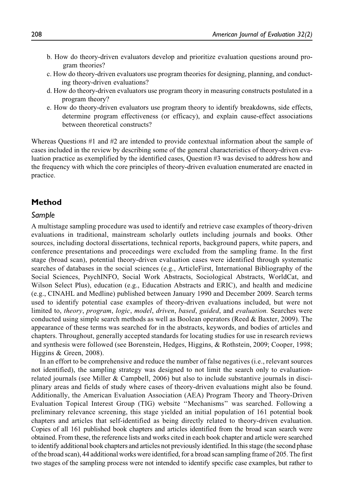- b. How do theory-driven evaluators develop and prioritize evaluation questions around program theories?
- c. How do theory-driven evaluators use program theories for designing, planning, and conducting theory-driven evaluations?
- d. How do theory-driven evaluators use program theory in measuring constructs postulated in a program theory?
- e. How do theory-driven evaluators use program theory to identify breakdowns, side effects, determine program effectiveness (or efficacy), and explain cause-effect associations between theoretical constructs?

Whereas Questions #1 and #2 are intended to provide contextual information about the sample of cases included in the review by describing some of the general characteristics of theory-driven evaluation practice as exemplified by the identified cases, Question #3 was devised to address how and the frequency with which the core principles of theory-driven evaluation enumerated are enacted in practice.

# Method

#### Sample

A multistage sampling procedure was used to identify and retrieve case examples of theory-driven evaluations in traditional, mainstream scholarly outlets including journals and books. Other sources, including doctoral dissertations, technical reports, background papers, white papers, and conference presentations and proceedings were excluded from the sampling frame. In the first stage (broad scan), potential theory-driven evaluation cases were identified through systematic searches of databases in the social sciences (e.g., ArticleFirst, International Bibliography of the Social Sciences, PsychINFO, Social Work Abstracts, Sociological Abstracts, WorldCat, and Wilson Select Plus), education (e.g., Education Abstracts and ERIC), and health and medicine (e.g., CINAHL and Medline) published between January 1990 and December 2009. Search terms used to identify potential case examples of theory-driven evaluations included, but were not limited to, theory, program, logic, model, driven, based, guided, and evaluation. Searches were conducted using simple search methods as well as Boolean operators (Reed & Baxter, 2009). The appearance of these terms was searched for in the abstracts, keywords, and bodies of articles and chapters. Throughout, generally accepted standards for locating studies for use in research reviews and synthesis were followed (see Borenstein, Hedges, Higgins, & Rothstein, 2009; Cooper, 1998; Higgins & Green, 2008).

In an effort to be comprehensive and reduce the number of false negatives (i.e., relevant sources not identified), the sampling strategy was designed to not limit the search only to evaluationrelated journals (see Miller & Campbell, 2006) but also to include substantive journals in disciplinary areas and fields of study where cases of theory-driven evaluations might also be found. Additionally, the American Evaluation Association (AEA) Program Theory and Theory-Driven Evaluation Topical Interest Group (TIG) website ''Mechanisms'' was searched. Following a preliminary relevance screening, this stage yielded an initial population of 161 potential book chapters and articles that self-identified as being directly related to theory-driven evaluation. Copies of all 161 published book chapters and articles identified from the broad scan search were obtained. From these, the reference lists and works cited in each book chapter and article were searched to identify additional book chapters and articles not previously identified. In this stage (the second phase of the broad scan), 44 additional works were identified, for a broad scan sampling frame of 205. The first two stages of the sampling process were not intended to identify specific case examples, but rather to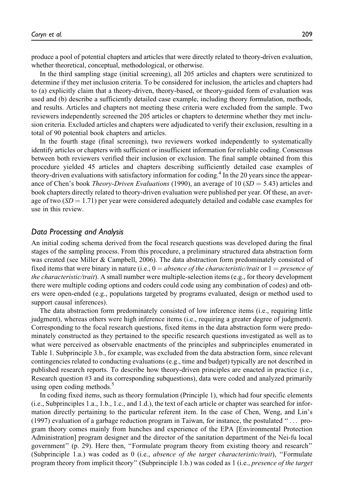produce a pool of potential chapters and articles that were directly related to theory-driven evaluation, whether theoretical, conceptual, methodological, or otherwise.

In the third sampling stage (initial screening), all 205 articles and chapters were scrutinized to determine if they met inclusion criteria. To be considered for inclusion, the articles and chapters had to (a) explicitly claim that a theory-driven, theory-based, or theory-guided form of evaluation was used and (b) describe a sufficiently detailed case example, including theory formulation, methods, and results. Articles and chapters not meeting these criteria were excluded from the sample. Two reviewers independently screened the 205 articles or chapters to determine whether they met inclusion criteria. Excluded articles and chapters were adjudicated to verify their exclusion, resulting in a total of 90 potential book chapters and articles.

In the fourth stage (final screening), two reviewers worked independently to systematically identify articles or chapters with sufficient or insufficient information for reliable coding. Consensus between both reviewers verified their inclusion or exclusion. The final sample obtained from this procedure yielded 45 articles and chapters describing sufficiently detailed case examples of theory-driven evaluations with satisfactory information for coding.4 In the 20 years since the appearance of Chen's book *Theory-Driven Evaluations* (1990), an average of 10 ( $SD = 5.43$ ) articles and book chapters directly related to theory-driven evaluation were published per year. Of these, an average of two  $(SD = 1.71)$  per year were considered adequately detailed and codable case examples for use in this review.

## Data Processing and Analysis

An initial coding schema derived from the focal research questions was developed during the final stages of the sampling process. From this procedure, a preliminary structured data abstraction form was created (see Miller & Campbell, 2006). The data abstraction form predominately consisted of fixed items that were binary in nature (i.e.,  $0 = absence$  of the characteristic/trait or  $1 = presence$  of the characteristic/trait). A small number were multiple-selection items (e.g., for theory development there were multiple coding options and coders could code using any combination of codes) and others were open-ended (e.g., populations targeted by programs evaluated, design or method used to support causal inferences).

The data abstraction form predominately consisted of low inference items (i.e., requiring little judgment), whereas others were high inference items (i.e., requiring a greater degree of judgment). Corresponding to the focal research questions, fixed items in the data abstraction form were predominately constructed as they pertained to the specific research questions investigated as well as to what were perceived as observable enactments of the principles and subprinciples enumerated in Table 1. Subprinciple 3.b., for example, was excluded from the data abstraction form, since relevant contingencies related to conducting evaluations (e.g., time and budget) typically are not described in published research reports. To describe how theory-driven principles are enacted in practice (i.e., Research question #3 and its corresponding subquestions), data were coded and analyzed primarily using open coding methods. $5$ 

In coding fixed items, such as theory formulation (Principle 1), which had four specific elements (i.e., Subprinciples 1.a., 1.b., 1.c., and 1.d.), the text of each article or chapter was searched for information directly pertaining to the particular referent item. In the case of Chen, Weng, and Lin's (1997) evaluation of a garbage reduction program in Taiwan, for instance, the postulated ''... program theory comes mainly from hunches and experience of the EPA [Environmental Protection Administration] program designer and the director of the sanitation department of the Nei-fu local government'' (p. 29). Here then, ''Formulate program theory from existing theory and research'' (Subprinciple 1.a.) was coded as 0 (i.e., absence of the target characteristic/trait), ''Formulate program theory from implicit theory'' (Subprinciple 1.b.) was coded as 1 (i.e., presence of the target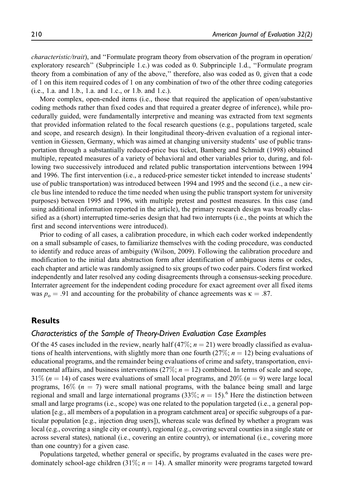characteristic/trait), and ''Formulate program theory from observation of the program in operation/ exploratory research'' (Subprinciple 1.c.) was coded as 0. Subprinciple 1.d., ''Formulate program theory from a combination of any of the above,'' therefore, also was coded as 0, given that a code of 1 on this item required codes of 1 on any combination of two of the other three coding categories (i.e., 1.a. and 1.b., 1.a. and 1.c., or 1.b. and 1.c.).

More complex, open-ended items (i.e., those that required the application of open/substantive coding methods rather than fixed codes and that required a greater degree of inference), while procedurally guided, were fundamentally interpretive and meaning was extracted from text segments that provided information related to the focal research questions (e.g., populations targeted, scale and scope, and research design). In their longitudinal theory-driven evaluation of a regional intervention in Giessen, Germany, which was aimed at changing university students' use of public transportation through a substantially reduced-price bus ticket, Bamberg and Schmidt (1998) obtained multiple, repeated measures of a variety of behavioral and other variables prior to, during, and following two successively introduced and related public transportation interventions between 1994 and 1996. The first intervention (i.e., a reduced-price semester ticket intended to increase students' use of public transportation) was introduced between 1994 and 1995 and the second (i.e., a new circle bus line intended to reduce the time needed when using the public transport system for university purposes) between 1995 and 1996, with multiple pretest and posttest measures. In this case (and using additional information reported in the article), the primary research design was broadly classified as a (short) interrupted time-series design that had two interrupts (i.e., the points at which the first and second interventions were introduced).

Prior to coding of all cases, a calibration procedure, in which each coder worked independently on a small subsample of cases, to familiarize themselves with the coding procedure, was conducted to identify and reduce areas of ambiguity (Wilson, 2009). Following the calibration procedure and modification to the initial data abstraction form after identification of ambiguous items or codes, each chapter and article was randomly assigned to six groups of two coder pairs. Coders first worked independently and later resolved any coding disagreements through a consensus-seeking procedure. Interrater agreement for the independent coding procedure for exact agreement over all fixed items was  $p_0 = .91$  and accounting for the probability of chance agreements was  $\kappa = .87$ .

# **Results**

## Characteristics of the Sample of Theory-Driven Evaluation Case Examples

Of the 45 cases included in the review, nearly half (47%;  $n = 21$ ) were broadly classified as evaluations of health interventions, with slightly more than one fourth (27%;  $n = 12$ ) being evaluations of educational programs, and the remainder being evaluations of crime and safety, transportation, environmental affairs, and business interventions (27%;  $n = 12$ ) combined. In terms of scale and scope,  $31\%$  (n = 14) of cases were evaluations of small local programs, and  $20\%$  (n = 9) were large local programs,  $16\%$  ( $n = 7$ ) were small national programs, with the balance being small and large regional and small and large international programs (33%;  $n = 15$ ).<sup>6</sup> Here the distinction between small and large programs (i.e., scope) was one related to the population targeted (i.e., a general population [e.g., all members of a population in a program catchment area] or specific subgroups of a particular population [e.g., injection drug users]), whereas scale was defined by whether a program was local (e.g., covering a single city or county), regional (e.g., covering several counties in a single state or across several states), national (i.e., covering an entire country), or international (i.e., covering more than one country) for a given case.

Populations targeted, whether general or specific, by programs evaluated in the cases were predominately school-age children (31%;  $n = 14$ ). A smaller minority were programs targeted toward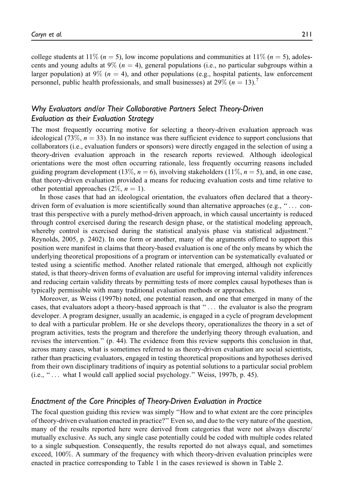# Why Evaluators and/or Their Collaborative Partners Select Theory-Driven Evaluation as their Evaluation Strategy

The most frequently occurring motive for selecting a theory-driven evaluation approach was ideological (73%,  $n = 33$ ). In no instance was there sufficient evidence to support conclusions that collaborators (i.e., evaluation funders or sponsors) were directly engaged in the selection of using a theory-driven evaluation approach in the research reports reviewed. Although ideological orientations were the most often occurring rationale, less frequently occurring reasons included guiding program development (13%,  $n = 6$ ), involving stakeholders (11%,  $n = 5$ ), and, in one case, that theory-driven evaluation provided a means for reducing evaluation costs and time relative to other potential approaches (2\%,  $n = 1$ ).

In those cases that had an ideological orientation, the evaluators often declared that a theorydriven form of evaluation is more scientifically sound than alternative approaches (e.g., "... contrast this perspective with a purely method-driven approach, in which causal uncertainty is reduced through control exercised during the research design phase, or the statistical modeling approach, whereby control is exercised during the statistical analysis phase via statistical adjustment.'' Reynolds, 2005, p. 2402). In one form or another, many of the arguments offered to support this position were manifest in claims that theory-based evaluation is one of the only means by which the underlying theoretical propositions of a program or intervention can be systematically evaluated or tested using a scientific method. Another related rationale that emerged, although not explicitly stated, is that theory-driven forms of evaluation are useful for improving internal validity inferences and reducing certain validity threats by permitting tests of more complex causal hypotheses than is typically permissible with many traditional evaluation methods or approaches.

Moreover, as Weiss (1997b) noted, one potential reason, and one that emerged in many of the cases, that evaluators adopt a theory-based approach is that ''... the evaluator is also the program developer. A program designer, usually an academic, is engaged in a cycle of program development to deal with a particular problem. He or she develops theory, operationalizes the theory in a set of program activities, tests the program and therefore the underlying theory through evaluation, and revises the intervention.'' (p. 44). The evidence from this review supports this conclusion in that, across many cases, what is sometimes referred to as theory-driven evaluation are social scientists, rather than practicing evaluators, engaged in testing theoretical propositions and hypotheses derived from their own disciplinary traditions of inquiry as potential solutions to a particular social problem (i.e., ''... what I would call applied social psychology.'' Weiss, 1997b, p. 45).

# Enactment of the Core Principles of Theory-Driven Evaluation in Practice

The focal question guiding this review was simply ''How and to what extent are the core principles of theory-driven evaluation enacted in practice?'' Even so, and due to the very nature of the question, many of the results reported here were derived from categories that were not always discrete/ mutually exclusive. As such, any single case potentially could be coded with multiple codes related to a single subquestion. Consequently, the results reported do not always equal, and sometimes exceed, 100%. A summary of the frequency with which theory-driven evaluation principles were enacted in practice corresponding to Table 1 in the cases reviewed is shown in Table 2.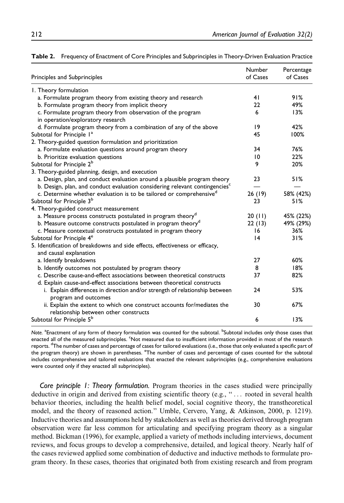| Principles and Subprinciples                                                            | Number<br>of Cases | Percentage<br>of Cases |  |
|-----------------------------------------------------------------------------------------|--------------------|------------------------|--|
| I. Theory formulation                                                                   |                    |                        |  |
| a. Formulate program theory from existing theory and research                           | 4 <sub>1</sub>     | 91%                    |  |
| b. Formulate program theory from implicit theory                                        | 22                 | 49%                    |  |
| c. Formulate program theory from observation of the program                             | 6                  | 13%                    |  |
| in operation/exploratory research                                                       |                    |                        |  |
| d. Formulate program theory from a combination of any of the above                      | $ 9\rangle$        | 42%                    |  |
| Subtotal for Principle 1 <sup>a</sup>                                                   | 45                 | 100%                   |  |
| 2. Theory-guided question formulation and prioritization                                |                    |                        |  |
| a. Formulate evaluation questions around program theory                                 | 34                 | 76%                    |  |
| b. Prioritize evaluation questions                                                      | 10                 | 22%                    |  |
| Subtotal for Principle 2 <sup>b</sup>                                                   | 9                  | 20%                    |  |
| 3. Theory-guided planning, design, and execution                                        |                    |                        |  |
| a. Design, plan, and conduct evaluation around a plausible program theory               | 23                 | 51%                    |  |
| b. Design, plan, and conduct evaluation considering relevant contingencies <sup>c</sup> |                    |                        |  |
| c. Determine whether evaluation is to be tailored or comprehensive <sup>d</sup>         | 26 (19)            | 58% (42%)              |  |
| Subtotal for Principle 3 <sup>b</sup>                                                   | 23                 | 51%                    |  |
| 4. Theory-guided construct measurement                                                  |                    |                        |  |
| a. Measure process constructs postulated in program theory <sup>d</sup>                 | 20(11)             | 45% (22%)              |  |
| b. Measure outcome constructs postulated in program theory <sup>d</sup>                 | 22(13)             | 49% (29%)              |  |
| c. Measure contextual constructs postulated in program theory                           | 16                 | 36%                    |  |
| Subtotal for Principle 4 <sup>e</sup>                                                   | 4                  | 31%                    |  |
| 5. Identification of breakdowns and side effects, effectiveness or efficacy,            |                    |                        |  |
| and causal explanation                                                                  |                    |                        |  |
| a. Identify breakdowns                                                                  | 27                 | 60%                    |  |
| b. Identify outcomes not postulated by program theory                                   | 8                  | 18%                    |  |
| c. Describe cause-and-effect associations between theoretical constructs                | 37                 | 82%                    |  |
| d. Explain cause-and-effect associations between theoretical constructs                 |                    |                        |  |
| i. Explain differences in direction and/or strength of relationship between             | 24                 | 53%                    |  |
| program and outcomes                                                                    |                    |                        |  |
| ii. Explain the extent to which one construct accounts for/mediates the                 | 30                 | 67%                    |  |
| relationship between other constructs                                                   |                    |                        |  |
| Subtotal for Principle 5 <sup>b</sup>                                                   | 6                  | 13%                    |  |

|  |  | <b>Table 2.</b> Freguency of Enactment of Core Principles and Subprinciples in Theory-Driven Evaluation Practice |  |  |  |  |  |  |  |
|--|--|------------------------------------------------------------------------------------------------------------------|--|--|--|--|--|--|--|
|--|--|------------------------------------------------------------------------------------------------------------------|--|--|--|--|--|--|--|

Note. <sup>a</sup>Enactment of any form of theory formulation was counted for the subtotal. <sup>b</sup>Subtotal includes only those cases that enacted all of the measured subprinciples. <sup>c</sup>Not measured due to insufficient information provided in most of the research reports. <sup>d</sup>The number of cases and percentage of cases for tailored evaluations (i.e., those that only evaluated a specific part of the program theory) are shown in parentheses. <sup>e</sup>The number of cases and percentage of cases counted for the subtotal includes comprehensive and tailored evaluations that enacted the relevant subprinciples (e.g., comprehensive evaluations were counted only if they enacted all subprinciples).

Core principle 1: Theory formulation. Program theories in the cases studied were principally deductive in origin and derived from existing scientific theory (e.g., "... rooted in several health behavior theories, including the health belief model, social cognitive theory, the transtheoretical model, and the theory of reasoned action.'' Umble, Cervero, Yang, & Atkinson, 2000, p. 1219). Inductive theories and assumptions held by stakeholders as well as theories derived through program observation were far less common for articulating and specifying program theory as a singular method. Bickman (1996), for example, applied a variety of methods including interviews, document reviews, and focus groups to develop a comprehensive, detailed, and logical theory. Nearly half of the cases reviewed applied some combination of deductive and inductive methods to formulate program theory. In these cases, theories that originated both from existing research and from program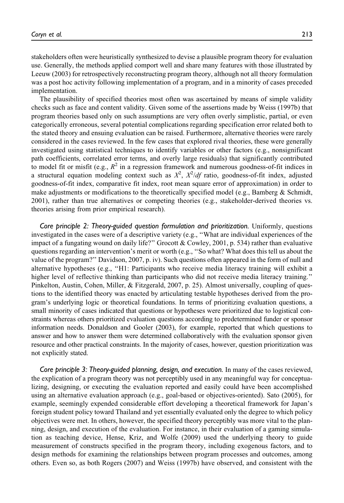stakeholders often were heuristically synthesized to devise a plausible program theory for evaluation use. Generally, the methods applied comport well and share many features with those illustrated by Leeuw (2003) for retrospectively reconstructing program theory, although not all theory formulation was a post hoc activity following implementation of a program, and in a minority of cases preceded implementation.

The plausibility of specified theories most often was ascertained by means of simple validity checks such as face and content validity. Given some of the assertions made by Weiss (1997b) that program theories based only on such assumptions are very often overly simplistic, partial, or even categorically erroneous, several potential complications regarding specification error related both to the stated theory and ensuing evaluation can be raised. Furthermore, alternative theories were rarely considered in the cases reviewed. In the few cases that explored rival theories, these were generally investigated using statistical techniques to identify variables or other factors (e.g., nonsignificant path coefficients, correlated error terms, and overly large residuals) that significantly contributed to model fit or misfit (e.g.,  $R^2$  in a regression framework and numerous goodness-of-fit indices in a structural equation modeling context such as  $X^2$ ,  $X^2/df$  ratio, goodness-of-fit index, adjusted goodness-of-fit index, comparative fit index, root mean square error of approximation) in order to make adjustments or modifications to the theoretically specified model (e.g., Bamberg  $\&$  Schmidt, 2001), rather than true alternatives or competing theories (e.g., stakeholder-derived theories vs. theories arising from prior empirical research).

Core principle 2: Theory-guided question formulation and prioritization. Uniformly, questions investigated in the cases were of a descriptive variety (e.g., ''What are individual experiences of the impact of a fungating wound on daily life?'' Grocott & Cowley, 2001, p. 534) rather than evaluative questions regarding an intervention's merit or worth (e.g., ''So what? What does this tell us about the value of the program?'' Davidson, 2007, p. iv). Such questions often appeared in the form of null and alternative hypotheses (e.g., ''H1: Participants who receive media literacy training will exhibit a higher level of reflective thinking than participants who did not receive media literacy training." Pinkelton, Austin, Cohen, Miller, & Fitzgerald, 2007, p. 25). Almost universally, coupling of questions to the identified theory was enacted by articulating testable hypotheses derived from the program's underlying logic or theoretical foundations. In terms of prioritizing evaluation questions, a small minority of cases indicated that questions or hypotheses were prioritized due to logistical constraints whereas others prioritized evaluation questions according to predetermined funder or sponsor information needs. Donaldson and Gooler (2003), for example, reported that which questions to answer and how to answer them were determined collaboratively with the evaluation sponsor given resource and other practical constraints. In the majority of cases, however, question prioritization was not explicitly stated.

Core principle 3: Theory-guided planning, design, and execution. In many of the cases reviewed, the explication of a program theory was not perceptibly used in any meaningful way for conceptualizing, designing, or executing the evaluation reported and easily could have been accomplished using an alternative evaluation approach (e.g., goal-based or objectives-oriented). Sato (2005), for example, seemingly expended considerable effort developing a theoretical framework for Japan's foreign student policy toward Thailand and yet essentially evaluated only the degree to which policy objectives were met. In others, however, the specified theory perceptibly was more vital to the planning, design, and execution of the evaluation. For instance, in their evaluation of a gaming simulation as teaching device, Hense, Kriz, and Wolfe (2009) used the underlying theory to guide measurement of constructs specified in the program theory, including exogenous factors, and to design methods for examining the relationships between program processes and outcomes, among others. Even so, as both Rogers (2007) and Weiss (1997b) have observed, and consistent with the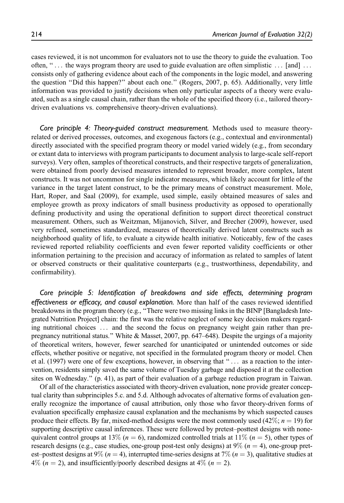cases reviewed, it is not uncommon for evaluators not to use the theory to guide the evaluation. Too often, '' ... the ways program theory are used to guide evaluation are often simplistic ... [and] ... consists only of gathering evidence about each of the components in the logic model, and answering the question ''Did this happen?'' about each one.'' (Rogers, 2007, p. 65). Additionally, very little information was provided to justify decisions when only particular aspects of a theory were evaluated, such as a single causal chain, rather than the whole of the specified theory (i.e., tailored theorydriven evaluations vs. comprehensive theory-driven evaluations).

Core principle 4: Theory-guided construct measurement. Methods used to measure theoryrelated or derived processes, outcomes, and exogenous factors (e.g., contextual and environmental) directly associated with the specified program theory or model varied widely (e.g., from secondary or extant data to interviews with program participants to document analysis to large-scale self-report surveys). Very often, samples of theoretical constructs, and their respective targets of generalization, were obtained from poorly devised measures intended to represent broader, more complex, latent constructs. It was not uncommon for single indicator measures, which likely account for little of the variance in the target latent construct, to be the primary means of construct measurement. Mole, Hart, Roper, and Saal (2009), for example, used simple, easily obtained measures of sales and employee growth as proxy indicators of small business productivity as opposed to operationally defining productivity and using the operational definition to support direct theoretical construct measurement. Others, such as Weitzman, Mijanovich, Silver, and Brecher (2009), however, used very refined, sometimes standardized, measures of theoretically derived latent constructs such as neighborhood quality of life, to evaluate a citywide health initiative. Noticeably, few of the cases reviewed reported reliability coefficients and even fewer reported validity coefficients or other information pertaining to the precision and accuracy of information as related to samples of latent or observed constructs or their qualitative counterparts (e.g., trustworthiness, dependability, and confirmability).

Core principle 5: Identification of breakdowns and side effects, determining program effectiveness or efficacy, and causal explanation. More than half of the cases reviewed identified breakdowns in the program theory (e.g., ''There were two missing links in the BINP [Bangladesh Integrated Nutrition Project] chain: the first was the relative neglect of some key decision makers regarding nutritional choices ... and the second the focus on pregnancy weight gain rather than prepregnancy nutritional status.'' White & Masset, 2007, pp. 647–648). Despite the urgings of a majority of theoretical writers, however, fewer searched for unanticipated or unintended outcomes or side effects, whether positive or negative, not specified in the formulated program theory or model. Chen et al. (1997) were one of few exceptions, however, in observing that ''... as a reaction to the intervention, residents simply saved the same volume of Tuesday garbage and disposed it at the collection sites on Wednesday.'' (p. 41), as part of their evaluation of a garbage reduction program in Taiwan.

Of all of the characteristics associated with theory-driven evaluation, none provide greater conceptual clarity than subprinciples 5.c. and 5.d. Although advocates of alternative forms of evaluation generally recognize the importance of causal attribution, only those who favor theory-driven forms of evaluation specifically emphasize causal explanation and the mechanisms by which suspected causes produce their effects. By far, mixed-method designs were the most commonly used (42%;  $n = 19$ ) for supporting descriptive causal inferences. These were followed by pretest–posttest designs with nonequivalent control groups at 13% ( $n = 6$ ), randomized controlled trials at 11% ( $n = 5$ ), other types of research designs (e.g., case studies, one-group post-test only designs) at  $9\%$  ( $n = 4$ ), one-group pretest–posttest designs at 9% ( $n = 4$ ), interrupted time-series designs at 7% ( $n = 3$ ), qualitative studies at 4% ( $n = 2$ ), and insufficiently/poorly described designs at 4% ( $n = 2$ ).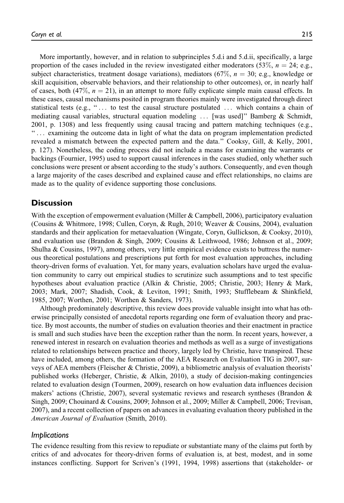More importantly, however, and in relation to subprinciples 5.d.i and 5.d.ii, specifically, a large proportion of the cases included in the review investigated either moderators (53%,  $n = 24$ ; e.g., subject characteristics, treatment dosage variations), mediators (67%,  $n = 30$ ; e.g., knowledge or skill acquisition, observable behaviors, and their relationship to other outcomes), or, in nearly half of cases, both (47%,  $n = 21$ ), in an attempt to more fully explicate simple main causal effects. In these cases, causal mechanisms posited in program theories mainly were investigated through direct statistical tests (e.g., " $\dots$  to test the causal structure postulated  $\dots$  which contains a chain of mediating causal variables, structural equation modeling ... [was used]'' Bamberg & Schmidt, 2001, p. 1308) and less frequently using causal tracing and pattern matching techniques (e.g., '' ... examining the outcome data in light of what the data on program implementation predicted revealed a mismatch between the expected pattern and the data.'' Cooksy, Gill, & Kelly, 2001, p. 127). Nonetheless, the coding process did not include a means for examining the warrants or backings (Fournier, 1995) used to support causal inferences in the cases studied, only whether such conclusions were present or absent according to the study's authors. Consequently, and even though a large majority of the cases described and explained cause and effect relationships, no claims are made as to the quality of evidence supporting those conclusions.

# **Discussion**

With the exception of empowerment evaluation (Miller & Campbell, 2006), participatory evaluation (Cousins & Whitmore, 1998; Cullen, Coryn, & Rugh, 2010; Weaver & Cousins, 2004), evaluation standards and their application for metaevaluation (Wingate, Coryn, Gullickson, & Cooksy, 2010), and evaluation use (Brandon & Singh, 2009; Cousins & Leithwood, 1986; Johnson et al., 2009; Shulha & Cousins, 1997), among others, very little empirical evidence exists to buttress the numerous theoretical postulations and prescriptions put forth for most evaluation approaches, including theory-driven forms of evaluation. Yet, for many years, evaluation scholars have urged the evaluation community to carry out empirical studies to scrutinize such assumptions and to test specific hypotheses about evaluation practice (Alkin & Christie, 2005; Christie, 2003; Henry & Mark, 2003; Mark, 2007; Shadish, Cook, & Leviton, 1991; Smith, 1993; Stufflebeam & Shinkfield, 1985, 2007; Worthen, 2001; Worthen & Sanders, 1973).

Although predominately descriptive, this review does provide valuable insight into what has otherwise principally consisted of anecdotal reports regarding one form of evaluation theory and practice. By most accounts, the number of studies on evaluation theories and their enactment in practice is small and such studies have been the exception rather than the norm. In recent years, however, a renewed interest in research on evaluation theories and methods as well as a surge of investigations related to relationships between practice and theory, largely led by Christie, have transpired. These have included, among others, the formation of the AEA Research on Evaluation TIG in 2007, surveys of AEA members (Fleischer & Christie, 2009), a bibliometric analysis of evaluation theorists' published works (Heberger, Christie, & Alkin, 2010), a study of decision-making contingencies related to evaluation design (Tourmen, 2009), research on how evaluation data influences decision makers' actions (Christie, 2007), several systematic reviews and research syntheses (Brandon & Singh, 2009; Chouinard & Cousins, 2009; Johnson et al., 2009; Miller & Campbell, 2006; Trevisan, 2007), and a recent collection of papers on advances in evaluating evaluation theory published in the American Journal of Evaluation (Smith, 2010).

#### Implications

The evidence resulting from this review to repudiate or substantiate many of the claims put forth by critics of and advocates for theory-driven forms of evaluation is, at best, modest, and in some instances conflicting. Support for Scriven's (1991, 1994, 1998) assertions that (stakeholder- or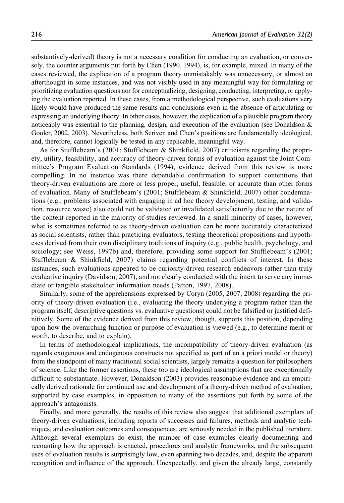substantively-derived) theory is not a necessary condition for conducting an evaluation, or conversely, the counter arguments put forth by Chen (1990, 1994), is, for example, mixed. In many of the cases reviewed, the explication of a program theory unmistakably was unnecessary, or almost an afterthought in some instances, and was not visibly used in any meaningful way for formulating or prioritizing evaluation questions nor for conceptualizing, designing, conducting, interpreting, or applying the evaluation reported. In these cases, from a methodological perspective, such evaluations very likely would have produced the same results and conclusions even in the absence of articulating or expressing an underlying theory. In other cases, however, the explication of a plausible program theory noticeably was essential to the planning, design, and execution of the evaluation (see Donaldson  $\&$ Gooler, 2002, 2003). Nevertheless, both Scriven and Chen's positions are fundamentally ideological, and, therefore, cannot logically be tested in any replicable, meaningful way.

As for Stufflebeam's (2001; Stufflebeam & Shinkfield, 2007) criticisms regarding the propriety, utility, feasibility, and accuracy of theory-driven forms of evaluation against the Joint Committee's Program Evaluation Standards (1994), evidence derived from this review is more compelling. In no instance was there dependable confirmation to support contentions that theory-driven evaluations are more or less proper, useful, feasible, or accurate than other forms of evaluation. Many of Stufflebeam's (2001; Stufflebeam & Shinkfield, 2007) other condemnations (e.g., problems associated with engaging in ad hoc theory development, testing, and validation, resource waste) also could not be validated or invalidated satisfactorily due to the nature of the content reported in the majority of studies reviewed. In a small minority of cases, however, what is sometimes referred to as theory-driven evaluation can be more accurately characterized as social scientists, rather than practicing evaluators, testing theoretical propositions and hypotheses derived from their own disciplinary traditions of inquiry (e.g., public health, psychology, and sociology; see Weiss, 1997b) and, therefore, providing some support for Stufflebeam's (2001; Stufflebeam & Shinkfield, 2007) claims regarding potential conflicts of interest. In these instances, such evaluations appeared to be curiosity-driven research endeavors rather than truly evaluative inquiry (Davidson, 2007), and not clearly conducted with the intent to serve any immediate or tangible stakeholder information needs (Patton, 1997, 2008).

Similarly, some of the apprehensions expressed by Coryn (2005, 2007, 2008) regarding the priority of theory-driven evaluation (i.e., evaluating the theory underlying a program rather than the program itself, descriptive questions vs. evaluative questions) could not be falsified or justified definitively. Some of the evidence derived from this review, though, supports this position, depending upon how the overarching function or purpose of evaluation is viewed (e.g., to determine merit or worth, to describe, and to explain).

In terms of methodological implications, the incompatibility of theory-driven evaluation (as regards exogenous and endogenous constructs not specified as part of an a priori model or theory) from the standpoint of many traditional social scientists, largely remains a question for philosophers of science. Like the former assertions, these too are ideological assumptions that are exceptionally difficult to substantiate. However, Donaldson (2003) provides reasonable evidence and an empirically derived rationale for continued use and development of a theory-driven method of evaluation, supported by case examples, in opposition to many of the assertions put forth by some of the approach's antagonists.

Finally, and more generally, the results of this review also suggest that additional exemplars of theory-driven evaluations, including reports of successes and failures, methods and analytic techniques, and evaluation outcomes and consequences, are seriously needed in the published literature. Although several exemplars do exist, the number of case examples clearly documenting and recounting how the approach is enacted, procedures and analytic frameworks, and the subsequent uses of evaluation results is surprisingly low, even spanning two decades, and, despite the apparent recognition and influence of the approach. Unexpectedly, and given the already large, constantly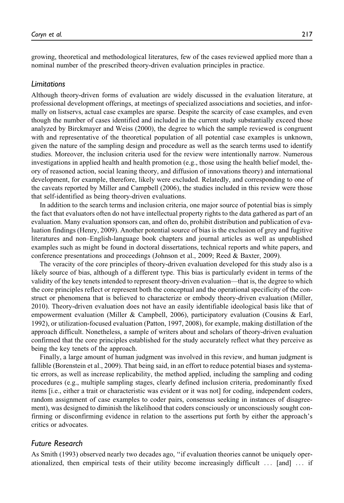growing, theoretical and methodological literatures, few of the cases reviewed applied more than a nominal number of the prescribed theory-driven evaluation principles in practice.

#### Limitations

Although theory-driven forms of evaluation are widely discussed in the evaluation literature, at professional development offerings, at meetings of specialized associations and societies, and informally on listservs, actual case examples are sparse. Despite the scarcity of case examples, and even though the number of cases identified and included in the current study substantially exceed those analyzed by Birckmayer and Weiss (2000), the degree to which the sample reviewed is congruent with and representative of the theoretical population of all potential case examples is unknown, given the nature of the sampling design and procedure as well as the search terms used to identify studies. Moreover, the inclusion criteria used for the review were intentionally narrow. Numerous investigations in applied health and health promotion (e.g., those using the health belief model, theory of reasoned action, social leaning theory, and diffusion of innovations theory) and international development, for example, therefore, likely were excluded. Relatedly, and corresponding to one of the caveats reported by Miller and Campbell (2006), the studies included in this review were those that self-identified as being theory-driven evaluations.

In addition to the search terms and inclusion criteria, one major source of potential bias is simply the fact that evaluators often do not have intellectual property rights to the data gathered as part of an evaluation. Many evaluation sponsors can, and often do, prohibit distribution and publication of evaluation findings (Henry, 2009). Another potential source of bias is the exclusion of grey and fugitive literatures and non–English-language book chapters and journal articles as well as unpublished examples such as might be found in doctoral dissertations, technical reports and white papers, and conference presentations and proceedings (Johnson et al., 2009; Reed & Baxter, 2009).

The veracity of the core principles of theory-driven evaluation developed for this study also is a likely source of bias, although of a different type. This bias is particularly evident in terms of the validity of the key tenets intended to represent theory-driven evaluation—that is, the degree to which the core principles reflect or represent both the conceptual and the operational specificity of the construct or phenomena that is believed to characterize or embody theory-driven evaluation (Miller, 2010). Theory-driven evaluation does not have an easily identifiable ideological basis like that of empowerment evaluation (Miller & Campbell, 2006), participatory evaluation (Cousins & Earl, 1992), or utilization-focused evaluation (Patton, 1997, 2008), for example, making distillation of the approach difficult. Nonetheless, a sample of writers about and scholars of theory-driven evaluation confirmed that the core principles established for the study accurately reflect what they perceive as being the key tenets of the approach.

Finally, a large amount of human judgment was involved in this review, and human judgment is fallible (Borenstein et al., 2009). That being said, in an effort to reduce potential biases and systematic errors, as well as increase replicability, the method applied, including the sampling and coding procedures (e.g., multiple sampling stages, clearly defined inclusion criteria, predominantly fixed items [i.e., either a trait or characteristic was evident or it was not] for coding, independent coders, random assignment of case examples to coder pairs, consensus seeking in instances of disagreement), was designed to diminish the likelihood that coders consciously or unconsciously sought confirming or disconfirming evidence in relation to the assertions put forth by either the approach's critics or advocates.

# Future Research

As Smith (1993) observed nearly two decades ago, "if evaluation theories cannot be uniquely operationalized, then empirical tests of their utility become increasingly difficult ... [and] ... if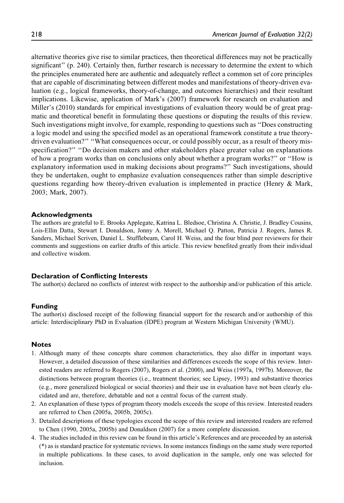alternative theories give rise to similar practices, then theoretical differences may not be practically significant'' (p. 240). Certainly then, further research is necessary to determine the extent to which the principles enumerated here are authentic and adequately reflect a common set of core principles that are capable of discriminating between different modes and manifestations of theory-driven evaluation (e.g., logical frameworks, theory-of-change, and outcomes hierarchies) and their resultant implications. Likewise, application of Mark's (2007) framework for research on evaluation and Miller's (2010) standards for empirical investigations of evaluation theory would be of great pragmatic and theoretical benefit in formulating these questions or disputing the results of this review. Such investigations might involve, for example, responding to questions such as ''Does constructing a logic model and using the specified model as an operational framework constitute a true theorydriven evaluation?'' ''What consequences occur, or could possibly occur, as a result of theory misspecification?" "Do decision makers and other stakeholders place greater value on explanations of how a program works than on conclusions only about whether a program works?'' or ''How is explanatory information used in making decisions about programs?'' Such investigations, should they be undertaken, ought to emphasize evaluation consequences rather than simple descriptive questions regarding how theory-driven evaluation is implemented in practice (Henry & Mark, 2003; Mark, 2007).

#### Acknowledgments

The authors are grateful to E. Brooks Applegate, Katrina L. Bledsoe, Christina A. Christie, J. Bradley Cousins, Lois-Ellin Datta, Stewart I. Donaldson, Jonny A. Morell, Michael Q. Patton, Patricia J. Rogers, James R. Sanders, Michael Scriven, Daniel L. Stufflebeam, Carol H. Weiss, and the four blind peer reviewers for their comments and suggestions on earlier drafts of this article. This review benefited greatly from their individual and collective wisdom.

#### Declaration of Conflicting Interests

The author(s) declared no conflicts of interest with respect to the authorship and/or publication of this article.

#### Funding

The author(s) disclosed receipt of the following financial support for the research and/or authorship of this article: Interdisciplinary PhD in Evaluation (IDPE) program at Western Michigan University (WMU).

#### Notes

- 1. Although many of these concepts share common characteristics, they also differ in important ways. However, a detailed discussion of these similarities and differences exceeds the scope of this review. Interested readers are referred to Rogers (2007), Rogers et al. (2000), and Weiss (1997a, 1997b). Moreover, the distinctions between program theories (i.e., treatment theories; see Lipsey, 1993) and substantive theories (e.g., more generalized biological or social theories) and their use in evaluation have not been clearly elucidated and are, therefore, debatable and not a central focus of the current study.
- 2. An explanation of these types of program theory models exceeds the scope of this review. Interested readers are referred to Chen (2005a, 2005b, 2005c).
- 3. Detailed descriptions of these typologies exceed the scope of this review and interested readers are referred to Chen (1990, 2005a, 2005b) and Donaldson (2007) for a more complete discussion.
- 4. The studies included in this review can be found in this article's References and are proceeded by an asterisk (\*) as is standard practice for systematic reviews. In some instances findings on the same study were reported in multiple publications. In these cases, to avoid duplication in the sample, only one was selected for inclusion.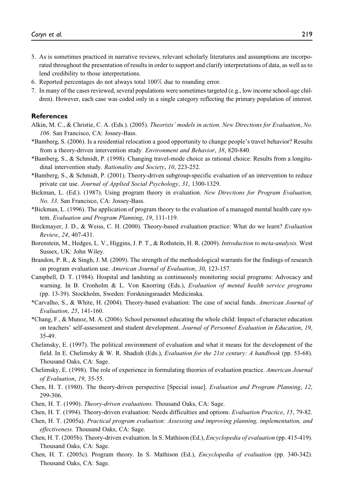- 5. As is sometimes practiced in narrative reviews, relevant scholarly literatures and assumptions are incorporated throughout the presentation of results in order to support and clarify interpretations of data, as well as to lend credibility to those interpretations.
- 6. Reported percentages do not always total 100% due to rounding error.
- 7. In many of the cases reviewed, several populations were sometimes targeted (e.g., low income school-age children). However, each case was coded only in a single category reflecting the primary population of interest.

## **References**

- Alkin, M. C., & Christie, C. A. (Eds.). (2005). Theorists' models in action. New Directions for Evaluation, No. 106. San Francisco, CA: Jossey-Bass.
- \*Bamberg, S. (2006). Is a residential relocation a good opportunity to change people's travel behavior? Results from a theory-driven intervention study. Environment and Behavior, 38, 820-840.
- \*Bamberg, S., & Schmidt, P. (1998). Changing travel-mode choice as rational choice: Results from a longitudinal intervention study. Rationality and Society, 10, 223-252.
- \*Bamberg, S., & Schmidt, P. (2001). Theory-driven subgroup-specific evaluation of an intervention to reduce private car use. Journal of Applied Social Psychology, 31, 1300-1329.
- Bickman, L. (Ed.). (1987). Using program theory in evaluation. New Directions for Program Evaluation, No. 33. San Francisco, CA: Jossey-Bass.
- \*Bickman, L. (1996). The application of program theory to the evaluation of a managed mental health care system. Evaluation and Program Planning, 19, 111-119.
- Birckmayer, J. D., & Weiss, C. H. (2000). Theory-based evaluation practice: What do we learn? Evaluation Review, 24, 407-431.
- Borenstein, M., Hedges, L. V., Higgins, J. P. T., & Rothstein, H. R. (2009). Introduction to meta-analysis. West Sussex, UK: John Wiley.
- Brandon, P. R., & Singh, J. M. (2009). The strength of the methodological warrants for the findings of research on program evaluation use. American Journal of Evaluation, 30, 123-157.
- Campbell, D. T. (1984). Hospital and landsting as continuously monitoring social programs: Advocacy and warning. In B. Cronholm & L. Von Knorring (Eds.), Evaluation of mental health service programs (pp. 13-39). Stockholm, Sweden: Forskningsraadet Medicinska.
- \*Carvalho, S., & White, H. (2004). Theory-based evaluation: The case of social funds. American Journal of Evaluation, 25, 141-160.
- \*Chang, F., & Munoz, M. A. (2006). School personnel educating the whole child: Impact of character education on teachers' self-assessment and student development. Journal of Personnel Evaluation in Education, 19, 35-49.
- Chelimsky, E. (1997). The political environment of evaluation and what it means for the development of the field. In E. Chelimsky & W. R. Shadish (Eds.), Evaluation for the 21st century: A handbook (pp. 53-68). Thousand Oaks, CA: Sage.
- Chelimsky, E. (1998). The role of experience in formulating theories of evaluation practice. American Journal of Evaluation, 19, 35-55.
- Chen, H. T. (1980). The theory-driven perspective [Special issue]. Evaluation and Program Planning, 12, 299-306.
- Chen, H. T. (1990). Theory-driven evaluations. Thousand Oaks, CA: Sage.
- Chen, H. T. (1994). Theory-driven evaluation: Needs difficulties and options. Evaluation Practice, 15, 79-82.
- Chen, H. T. (2005a). Practical program evaluation: Assessing and improving planning, implementation, and effectiveness. Thousand Oaks, CA: Sage.
- Chen, H. T. (2005b). Theory-driven evaluation. In S. Mathison (Ed.), Encyclopedia of evaluation (pp. 415-419). Thousand Oaks, CA: Sage.
- Chen, H. T. (2005c). Program theory. In S. Mathison (Ed.), Encyclopedia of evaluation (pp. 340-342). Thousand Oaks, CA: Sage.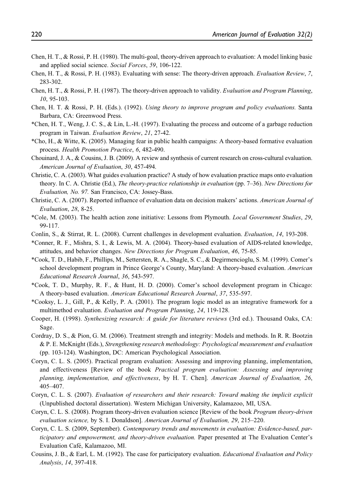- Chen, H. T., & Rossi, P. H. (1980). The multi-goal, theory-driven approach to evaluation: A model linking basic and applied social science. Social Forces, 59, 106-122.
- Chen, H. T., & Rossi, P. H. (1983). Evaluating with sense: The theory-driven approach. Evaluation Review, 7, 283-302.
- Chen, H. T., & Rossi, P. H. (1987). The theory-driven approach to validity. Evaluation and Program Planning, 10, 95-103.
- Chen, H. T. & Rossi, P. H. (Eds.). (1992). Using theory to improve program and policy evaluations. Santa Barbara, CA: Greenwood Press.
- \*Chen, H. T., Weng, J. C. S., & Lin, L.-H. (1997). Evaluating the process and outcome of a garbage reduction program in Taiwan. Evaluation Review, 21, 27-42.
- \*Cho, H., & Witte, K. (2005). Managing fear in public health campaigns: A theory-based formative evaluation process. Health Promotion Practice, 6, 482-490.
- Chouinard, J. A., & Cousins, J. B. (2009). A review and synthesis of current research on cross-cultural evaluation. American Journal of Evaluation, 30, 457-494.
- Christie, C. A. (2003). What guides evaluation practice? A study of how evaluation practice maps onto evaluation theory. In C. A. Christie (Ed.), The theory-practice relationship in evaluation (pp. 7–36). New Directions for Evaluation, No. 97. San Francisco, CA: Jossey-Bass.
- Christie, C. A. (2007). Reported influence of evaluation data on decision makers' actions. American Journal of Evaluation, 28, 8-25.
- \*Cole, M. (2003). The health action zone initiative: Lessons from Plymouth. Local Government Studies, 29, 99-117.
- Conlin, S., & Stirrat, R. L. (2008). Current challenges in development evaluation. Evaluation, 14, 193-208.
- \*Conner, R. F., Mishra, S. I., & Lewis, M. A. (2004). Theory-based evaluation of AIDS-related knowledge, attitudes, and behavior changes. New Directions for Program Evaluation, 46, 75-85.
- \*Cook, T. D., Habib, F., Phillips, M., Settersten, R. A., Shagle, S. C., & Degirmencioglu, S. M. (1999). Comer's school development program in Prince George's County, Maryland: A theory-based evaluation. American Educational Research Journal, 36, 543-597.
- \*Cook, T. D., Murphy, R. F., & Hunt, H. D. (2000). Comer's school development program in Chicago: A theory-based evaluation. American Educational Research Journal, 37, 535-597.
- \*Cooksy, L. J., Gill, P., & Kelly, P. A. (2001). The program logic model as an integrative framework for a multimethod evaluation. Evaluation and Program Planning, 24, 119-128.
- Cooper, H. (1998). Synthesizing research: A guide for literature reviews (3rd ed.). Thousand Oaks, CA: Sage.
- Cordray, D. S., & Pion, G. M. (2006). Treatment strength and integrity: Models and methods. In R. R. Bootzin & P. E. McKnight (Eds.), Strengthening research methodology: Psychological measurement and evaluation (pp. 103-124). Washington, DC: American Psychological Association.
- Coryn, C. L. S. (2005). Practical program evaluation: Assessing and improving planning, implementation, and effectiveness [Review of the book Practical program evaluation: Assessing and improving planning, implementation, and effectiveness, by H. T. Chen]. American Journal of Evaluation, 26, 405–407.
- Coryn, C. L. S. (2007). Evaluation of researchers and their research: Toward making the implicit explicit (Unpublished doctoral dissertation). Western Michigan University, Kalamazoo, MI, USA.
- Coryn, C. L. S. (2008). Program theory-driven evaluation science [Review of the book Program theory-driven evaluation science, by S. I. Donaldson]. American Journal of Evaluation, 29, 215–220.
- Coryn, C. L. S. (2009, September). Contemporary trends and movements in evaluation: Evidence-based, participatory and empowerment, and theory-driven evaluation. Paper presented at The Evaluation Center's Evaluation Cafe´, Kalamazoo, MI.
- Cousins, J. B., & Earl, L. M. (1992). The case for participatory evaluation. Educational Evaluation and Policy Analysis, 14, 397-418.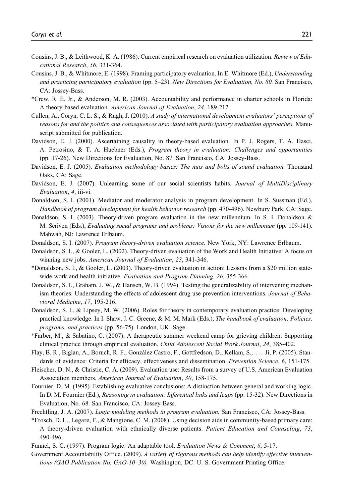- Cousins, J. B., & Leithwood, K. A. (1986). Current empirical research on evaluation utilization. Review of Educational Research, 56, 331-364.
- Cousins, J. B., & Whitmore, E. (1998). Framing participatory evaluation. In E. Whitmore (Ed.), Understanding and practicing participatory evaluation (pp. 5–23). New Directions for Evaluation, No. 80. San Francisco, CA: Jossey-Bass.
- \*Crew, R. E. Jr., & Anderson, M. R. (2003). Accountability and performance in charter schools in Florida: A theory-based evaluation. American Journal of Evaluation, 24, 189-212.
- Cullen, A., Coryn, C. L. S., & Rugh, J. (2010). A study of international development evaluators' perceptions of reasons for and the politics and consequences associated with participatory evaluation approaches. Manuscript submitted for publication.
- Davidson, E. J. (2000). Ascertaining causality in theory-based evaluation. In P. J. Rogers, T. A. Hasci, A. Petrosino, & T. A. Huebner (Eds.), Program theory in evaluation: Challenges and opportunities (pp. 17-26). New Directions for Evaluation, No. 87. San Francisco, CA: Jossey-Bass.
- Davidson, E. J. (2005). Evaluation methodology basics: The nuts and bolts of sound evaluation. Thousand Oaks, CA: Sage.
- Davidson, E. J. (2007). Unlearning some of our social scientists habits. Journal of MultiDisciplinary Evaluation, 4, iii-vi.
- Donaldson, S. I. (2001). Mediator and moderator analysis in program development. In S. Sussman (Ed.), Handbook of program development for health behavior research (pp. 470-496). Newbury Park, CA: Sage.
- Donaldson, S. I. (2003). Theory-driven program evaluation in the new millennium. In S. I. Donaldson & M. Scriven (Eds.), Evaluating social programs and problems: Visions for the new millennium (pp. 109-141). Mahwah, NJ: Lawrence Erlbaum.
- Donaldson, S. I. (2007). Program theory-driven evaluation science. New York, NY: Lawrence Erlbaum.
- Donaldson, S. I., & Gooler, L. (2002). Theory-driven evaluation of the Work and Health Initiative: A focus on winning new jobs. American Journal of Evaluation, 23, 341-346.
- \*Donaldson, S. I., & Gooler, L. (2003). Theory-driven evaluation in action: Lessons from a \$20 million statewide work and health initiative. Evaluation and Program Planning, 26, 355-366.
- Donaldson, S. I., Graham, J. W., & Hansen, W. B. (1994). Testing the generalizability of intervening mechanism theories: Understanding the effects of adolescent drug use prevention interventions. Journal of Behavioral Medicine, 17, 195-216.
- Donaldson, S. I., & Lipsey, M. W. (2006). Roles for theory in contemporary evaluation practice: Developing practical knowledge. In I. Shaw, J. C. Greene, & M. M. Mark (Eds.), The handbook of evaluation: Policies, programs, and practices (pp. 56-75). London, UK: Sage.
- \*Farber, M., & Sabatino, C. (2007). A therapeutic summer weekend camp for grieving children: Supporting clinical practice through empirical evaluation. Child Adolescent Social Work Journal, 24, 385-402.
- Flay, B. R., Biglan, A., Boruch, R. F., González Castro, F., Gottfredson, D., Kellam, S., ... Ji, P. (2005). Standards of evidence: Criteria for efficacy, effectiveness and dissemination. Prevention Science, 6, 151-175.
- Fleischer, D. N., & Christie, C. A. (2009). Evaluation use: Results from a survey of U.S. American Evaluation Association members. American Journal of Evaluation, 30, 158-175.
- Fournier, D. M. (1995). Establishing evaluative conclusions: A distinction between general and working logic. In D. M. Fournier (Ed.), Reasoning in evaluation: Inferential links and leaps (pp. 15-32). New Directions in Evaluation, No. 68. San Francisco, CA: Jossey-Bass.
- Frechtling, J. A. (2007). Logic modeling methods in program evaluation. San Francisco, CA: Jossey-Bass.
- \*Frosch, D. L., Legare, F., & Mangione, C. M. (2008). Using decision aids in community-based primary care: A theory-driven evaluation with ethnically diverse patients. Patient Education and Counseling, 73, 490-496.
- Funnel, S. C. (1997). Program logic: An adaptable tool. Evaluation News & Comment, 6, 5-17.
- Government Accountability Office. (2009). A variety of rigorous methods can help identify effective interventions (GAO Publication No. GAO-10–30). Washington, DC: U. S. Government Printing Office.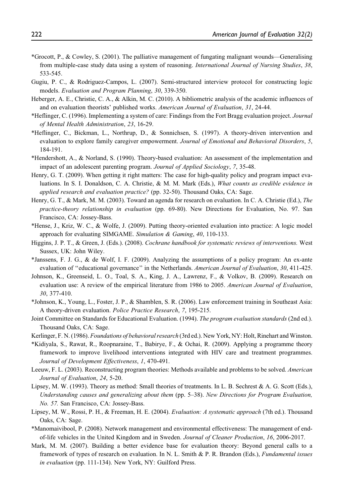- \*Grocott, P., & Cowley, S. (2001). The palliative management of fungating malignant wounds—Generalising from multiple-case study data using a system of reasoning. International Journal of Nursing Studies, 38, 533-545.
- Gugiu, P. C., & Rodriguez-Campos, L. (2007). Semi-structured interview protocol for constructing logic models. Evaluation and Program Planning, 30, 339-350.
- Heberger, A. E., Christie, C. A., & Alkin, M. C. (2010). A bibliometric analysis of the academic influences of and on evaluation theorists' published works. American Journal of Evaluation, 31, 24-44.
- \*Heflinger, C. (1996). Implementing a system of care: Findings from the Fort Bragg evaluation project. Journal of Mental Health Administration, 23, 16-29.
- \*Heflinger, C., Bickman, L., Northrup, D., & Sonnichsen, S. (1997). A theory-driven intervention and evaluation to explore family caregiver empowerment. Journal of Emotional and Behavioral Disorders, 5, 184-191.
- \*Hendershott, A., & Norland, S. (1990). Theory-based evaluation: An assessment of the implementation and impact of an adolescent parenting program. Journal of Applied Sociology, 7, 35-48.
- Henry, G. T. (2009). When getting it right matters: The case for high-quality policy and program impact evaluations. In S. I. Donaldson, C. A. Christie, & M. M. Mark (Eds.), What counts as credible evidence in applied research and evaluation practice? (pp. 32-50). Thousand Oaks, CA: Sage.
- Henry, G. T., & Mark, M. M. (2003). Toward an agenda for research on evaluation. In C. A. Christie (Ed.), The practice-theory relationship in evaluation (pp. 69-80). New Directions for Evaluation, No. 97. San Francisco, CA: Jossey-Bass.
- \*Hense, J., Kriz, W. C., & Wolfe, J. (2009). Putting theory-oriented evaluation into practice: A logic model approach for evaluating SIMGAME. Simulation & Gaming, 40, 110-133.
- Higgins, J. P. T., & Green, J. (Eds.). (2008). Cochrane handbook for systematic reviews of interventions. West Sussex, UK: John Wiley.
- \*Janssens, F. J. G., & de Wolf, I. F. (2009). Analyzing the assumptions of a policy program: An ex-ante evaluation of "educational governance" in the Netherlands. American Journal of Evaluation, 30, 411-425.
- Johnson, K., Greenseid, L. O., Toal, S. A., King, J. A., Lawrenz, F., & Volkov, B. (2009). Research on evaluation use: A review of the empirical literature from 1986 to 2005. American Journal of Evaluation, 30, 377-410.
- \*Johnson, K., Young, L., Foster, J. P., & Shamblen, S. R. (2006). Law enforcement training in Southeast Asia: A theory-driven evaluation. Police Practice Research, 7, 195-215.
- Joint Committee on Standards for Educational Evaluation. (1994). The program evaluation standards (2nd ed.). Thousand Oaks, CA: Sage.
- Kerlinger, F. N. (1986). Foundations of behavioral research (3rd ed.). New York, NY: Holt, Rinehart and Winston.
- \*Kidiyala, S., Rawat, R., Roopnaraine, T., Babirye, F., & Ochai, R. (2009). Applying a programme theory framework to improve livelihood interventions integrated with HIV care and treatment programmes. Journal of Development Effectiveness, 1, 470-491.
- Leeuw, F. L. (2003). Reconstructing program theories: Methods available and problems to be solved. American Journal of Evaluation, 24, 5-20.
- Lipsey, M. W. (1993). Theory as method: Small theories of treatments. In L. B. Sechrest & A. G. Scott (Eds.), Understanding causes and generalizing about them (pp. 5–38). New Directions for Program Evaluation, No. 57. San Francisco, CA: Jossey-Bass.
- Lipsey, M. W., Rossi, P. H., & Freeman, H. E. (2004). Evaluation: A systematic approach (7th ed.). Thousand Oaks, CA: Sage.
- \*Manomaivibool, P. (2008). Network management and environmental effectiveness: The management of endof-life vehicles in the United Kingdom and in Sweden. Journal of Cleaner Production, 16, 2006-2017.
- Mark, M. M. (2007). Building a better evidence base for evaluation theory: Beyond general calls to a framework of types of research on evaluation. In N. L. Smith & P. R. Brandon (Eds.), Fundamental issues in evaluation (pp. 111-134). New York, NY: Guilford Press.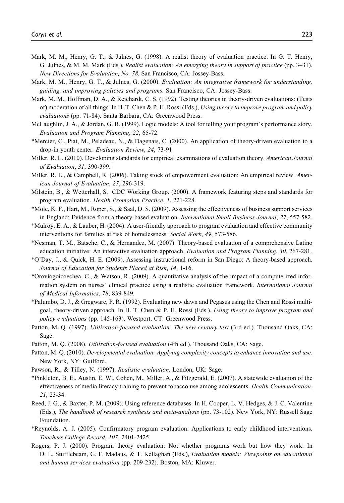- Mark, M. M., Henry, G. T., & Julnes, G. (1998). A realist theory of evaluation practice. In G. T. Henry, G. Julnes, & M. M. Mark (Eds.), Realist evaluation: An emerging theory in support of practice (pp. 3–31). New Directions for Evaluation, No. 78. San Francisco, CA: Jossey-Bass.
- Mark, M. M., Henry, G. T., & Julnes, G. (2000). Evaluation: An integrative framework for understanding, guiding, and improving policies and programs. San Francisco, CA: Jossey-Bass.
- Mark, M. M., Hoffman, D. A., & Reichardt, C. S. (1992). Testing theories in theory-driven evaluations: (Tests of) moderation of all things. In H. T. Chen & P. H. Rossi (Eds.), Using theory to improve program and policy evaluations (pp. 71-84). Santa Barbara, CA: Greenwood Press.
- McLaughlin, J. A., & Jordan, G. B. (1999). Logic models: A tool for telling your program's performance story. Evaluation and Program Planning, 22, 65-72.
- \*Mercier, C., Piat, M., Peladeau, N., & Dagenais, C. (2000). An application of theory-driven evaluation to a drop-in youth center. Evaluation Review, 24, 73-91.
- Miller, R. L. (2010). Developing standards for empirical examinations of evaluation theory. American Journal of Evaluation, 31, 390-399.
- Miller, R. L., & Campbell, R. (2006). Taking stock of empowerment evaluation: An empirical review. American Journal of Evaluation, 27, 296-319.
- Milstein, B., & Wetterhall, S. CDC Working Group. (2000). A framework featuring steps and standards for program evaluation. Health Promotion Practice, 1, 221-228.
- \*Mole, K. F., Hart, M., Roper, S., & Saal, D. S. (2009). Assessing the effectiveness of business support services in England: Evidence from a theory-based evaluation. International Small Business Journal, 27, 557-582.
- \*Mulroy, E. A., & Lauber, H. (2004). A user-friendly approach to program evaluation and effective community interventions for families at risk of homelessness. Social Work, 49, 573-586.
- \*Nesman, T. M., Batsche, C., & Hernandez, M. (2007). Theory-based evaluation of a comprehensive Latino education initiative: An interactive evaluation approach. *Evaluation and Program Planning*, 30, 267-281.
- \*O'Day, J., & Quick, H. E. (2009). Assessing instructional reform in San Diego: A theory-based approach. Journal of Education for Students Placed at Risk, 14, 1-16.
- \*Oroviogoicoechea, C., & Watson, R. (2009). A quantitative analysis of the impact of a computerized information system on nurses' clinical practice using a realistic evaluation framework. International Journal of Medical Informatics, 78, 839-849.
- \*Palumbo, D. J., & Gregware, P. R. (1992). Evaluating new dawn and Pegasus using the Chen and Rossi multigoal, theory-driven approach. In H. T. Chen & P. H. Rossi (Eds.), Using theory to improve program and policy evaluations (pp. 145-163). Westport, CT: Greenwood Press.
- Patton, M. Q. (1997). Utilization-focused evaluation: The new century text (3rd ed.). Thousand Oaks, CA: Sage.
- Patton, M. Q. (2008). Utilization-focused evaluation (4th ed.). Thousand Oaks, CA: Sage.
- Patton, M. Q. (2010). Developmental evaluation: Applying complexity concepts to enhance innovation and use. New York, NY: Guilford.
- Pawson, R., & Tilley, N. (1997). Realistic evaluation. London, UK: Sage.
- \*Pinkleton, B. E., Austin, E. W., Cohen, M., Miller, A., & Fitzgerald, E. (2007). A statewide evaluation of the effectiveness of media literacy training to prevent tobacco use among adolescents. Health Communication, 21, 23-34.
- Reed, J. G., & Baxter, P. M. (2009). Using reference databases. In H. Cooper, L. V. Hedges, & J. C. Valentine (Eds.), The handbook of research synthesis and meta-analysis (pp. 73-102). New York, NY: Russell Sage Foundation.
- \*Reynolds, A. J. (2005). Confirmatory program evaluation: Applications to early childhood interventions. Teachers College Record, 107, 2401-2425.
- Rogers, P. J. (2000). Program theory evaluation: Not whether programs work but how they work. In D. L. Stufflebeam, G. F. Madaus, & T. Kellaghan (Eds.), Evaluation models: Viewpoints on educational and human services evaluation (pp. 209-232). Boston, MA: Kluwer.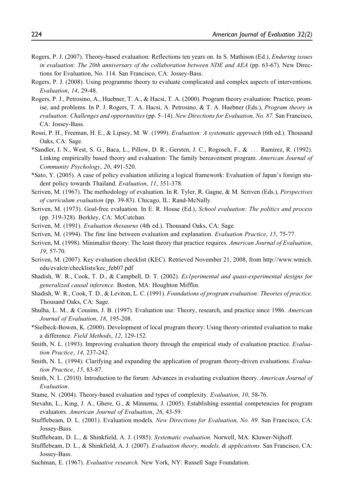- Rogers, P. J. (2007). Theory-based evaluation: Reflections ten years on. In S. Mathison (Ed.), Enduring issues in evaluation: The 20th anniversary of the collaboration between NDE and AEA (pp. 63-67). New Directions for Evaluation, No. 114. San Francisco, CA: Jossey-Bass.
- Rogers, P. J. (2008). Using programme theory to evaluate complicated and complex aspects of interventions. Evaluation, 14, 29-48.
- Rogers, P. J., Petrosino, A., Huebner, T. A., & Hacsi, T. A. (2000). Program theory evaluation: Practice, promise, and problems. In P. J. Rogers, T. A. Hacsi, A. Petrosino, & T. A. Huebner (Eds.), Program theory in evaluation: Challenges and opportunities (pp. 5–14). New Directions for Evaluation, No. 87. San Francisco, CA: Jossey-Bass.
- Rossi, P. H., Freeman, H. E., & Lipsey, M. W. (1999). Evaluation: A systematic approach (6th ed.). Thousand Oaks, CA: Sage.
- \*Sandler, I. N., West, S. G., Baca, L., Pillow, D. R., Gersten, J. C., Rogosch, F., & ... Ramirez, R. (1992). Linking empirically based theory and evaluation: The family bereavement program. American Journal of Community Psychology, 20, 491-520.
- \*Sato, Y. (2005). A case of policy evaluation utilizing a logical framework: Evaluation of Japan's foreign student policy towards Thailand. Evaluation, 11, 351-378.
- Scriven, M. (1967). The methodology of evaluation. In R. Tyler, R. Gagne, & M. Scriven (Eds.), Perspectives of curriculum evaluation (pp. 39-83). Chicago, IL: Rand-McNally.
- Scriven, M. (1973). Goal-free evaluation. In E. R. House (Ed.), School evaluation: The politics and process (pp. 319-328). Berkley, CA: McCutchan.
- Scriven, M. (1991). Evaluation thesaurus (4th ed.). Thousand Oaks, CA: Sage.
- Scriven, M. (1994). The fine line between evaluation and explanation. Evaluation Practice, 15, 75-77.
- Scriven, M. (1998). Minimalist theory: The least theory that practice requires. American Journal of Evaluation, 19, 57-70.
- Scriven, M. (2007). Key evaluation checklist (KEC). Retrieved November 21, 2008, from http://www.wmich. edu/evalctr/checklists/kec\_feb07.pdf
- Shadish, W. R., Cook, T. D., & Campbell, D. T. (2002). Ex1perimental and quasi-experimental designs for generalized causal inference. Boston, MA: Houghton Mifflin.
- Shadish, W. R., Cook, T. D., & Leviton, L. C. (1991). Foundations of program evaluation: Theories of practice. Thousand Oaks, CA: Sage.
- Shulha, L. M., & Cousins, J. B. (1997). Evaluation use: Theory, research, and practice since 1986. American Journal of Evaluation, 18, 195-208.
- \*Sielbeck-Bowen, K. (2000). Development of local program theory: Using theory-oriented evaluation to make a difference. Field Methods, 12, 129-152.
- Smith, N. L. (1993). Improving evaluation theory through the empirical study of evaluation practice. *Evalua*tion Practice, 14, 237-242.
- Smith, N. L. (1994). Clarifying and expanding the application of program theory-driven evaluations. Evaluation Practice, 15, 83-87.
- Smith, N. L. (2010). Introduction to the forum: Advances in evaluating evaluation theory. American Journal of Evaluation.
- Stame, N. (2004). Theory-based evaluation and types of complexity. Evaluation, 10, 58-76.
- Stevahn, L., King, J. A., Ghere, G., & Minnema, J. (2005). Establishing essential competencies for program evaluators. American Journal of Evaluation, 26, 43-59.
- Stufflebeam, D. L. (2001). Evaluation models. New Directions for Evaluation, No. 89. San Francisco, CA: Jossey-Bass.
- Stufflebeam, D. L., & Shinkfield, A. J. (1985). Systematic evaluation. Norwell, MA: Kluwer-Nijhoff.
- Stufflebeam, D. L., & Shinkfield, A. J. (2007). Evaluation theory, models, & applications. San Francisco, CA: Jossey-Bass.
- Suchman, E. (1967). Evaluative research. New York, NY: Russell Sage Foundation.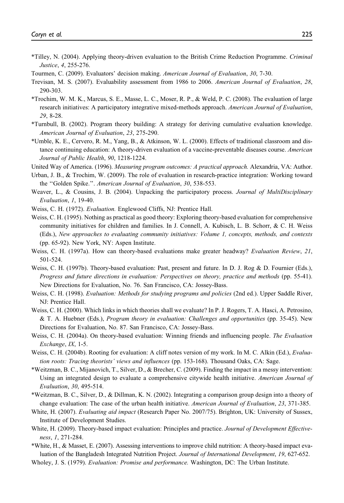- \*Tilley, N. (2004). Applying theory-driven evaluation to the British Crime Reduction Programme. Criminal Justice, 4, 255-276.
- Tourmen, C. (2009). Evaluators' decision making. American Journal of Evaluation, 30, 7-30.
- Trevisan, M. S. (2007). Evaluability assessment from 1986 to 2006. American Journal of Evaluation, 28, 290-303.
- \*Trochim, W. M. K., Marcus, S. E., Masse, L. C., Moser, R. P., & Weld, P. C. (2008). The evaluation of large research initiatives: A participatory integrative mixed-methods approach. American Journal of Evaluation, 29, 8-28.
- \*Turnbull, B. (2002). Program theory building: A strategy for deriving cumulative evaluation knowledge. American Journal of Evaluation, 23, 275-290.
- \*Umble, K. E., Cervero, R. M., Yang, B., & Atkinson, W. L. (2000). Effects of traditional classroom and distance continuing education: A theory-driven evaluation of a vaccine-preventable diseases course. American Journal of Public Health, 90, 1218-1224.
- United Way of America. (1996). Measuring program outcomes: A practical approach. Alexandria, VA: Author.
- Urban, J. B., & Trochim, W. (2009). The role of evaluation in research-practice integration: Working toward the ''Golden Spike.''. American Journal of Evaluation, 30, 538-553.
- Weaver, L., & Cousins, J. B. (2004). Unpacking the participatory process. Journal of MultiDisciplinary Evaluation, 1, 19-40.
- Weiss, C. H. (1972). Evaluation. Englewood Cliffs, NJ: Prentice Hall.
- Weiss, C. H. (1995). Nothing as practical as good theory: Exploring theory-based evaluation for comprehensive community initiatives for children and families. In J. Connell, A. Kubisch, L. B. Schorr, & C. H. Weiss (Eds.), New approaches to evaluating community initiatives: Volume 1, concepts, methods, and contexts (pp. 65-92). New York, NY: Aspen Institute.
- Weiss, C. H. (1997a). How can theory-based evaluations make greater headway? Evaluation Review, 21, 501-524.
- Weiss, C. H. (1997b). Theory-based evaluation: Past, present and future. In D. J. Rog & D. Fournier (Eds.), Progress and future directions in evaluation: Perspectives on theory, practice and methods (pp. 55-41). New Directions for Evaluation, No. 76. San Francisco, CA: Jossey-Bass.
- Weiss, C. H. (1998). Evaluation: Methods for studying programs and policies (2nd ed.). Upper Saddle River, NJ: Prentice Hall.
- Weiss, C. H. (2000). Which links in which theories shall we evaluate? In P. J. Rogers, T. A. Hasci, A. Petrosino, & T. A. Huebner (Eds.), Program theory in evaluation: Challenges and opportunities (pp. 35-45). New Directions for Evaluation, No. 87. San Francisco, CA: Jossey-Bass.
- Weiss, C. H. (2004a). On theory-based evaluation: Winning friends and influencing people. The Evaluation Exchange, IX, 1-5.
- Weiss, C. H. (2004b). Rooting for evaluation: A cliff notes version of my work. In M. C. Alkin (Ed.), *Evalua*tion roots: Tracing theorists' views and influences (pp. 153-168). Thousand Oaks, CA: Sage.
- \*Weitzman, B. C., Mijanovich, T., Silver, D., & Brecher, C. (2009). Finding the impact in a messy intervention: Using an integrated design to evaluate a comprehensive citywide health initiative. American Journal of Evaluation, 30, 495-514.
- \*Weitzman, B. C., Silver, D., & Dillman, K. N. (2002). Integrating a comparison group design into a theory of change evaluation: The case of the urban health initiative. American Journal of Evaluation, 23, 371-385.
- White, H. (2007). Evaluating aid impact (Research Paper No. 2007/75). Brighton, UK: University of Sussex, Institute of Development Studies.
- White, H. (2009). Theory-based impact evaluation: Principles and practice. Journal of Development Effectiveness, 1, 271-284.
- \*White, H., & Masset, E. (2007). Assessing interventions to improve child nutrition: A theory-based impact evaluation of the Bangladesh Integrated Nutrition Project. Journal of International Development, 19, 627-652.
- Wholey, J. S. (1979). Evaluation: Promise and performance. Washington, DC: The Urban Institute.